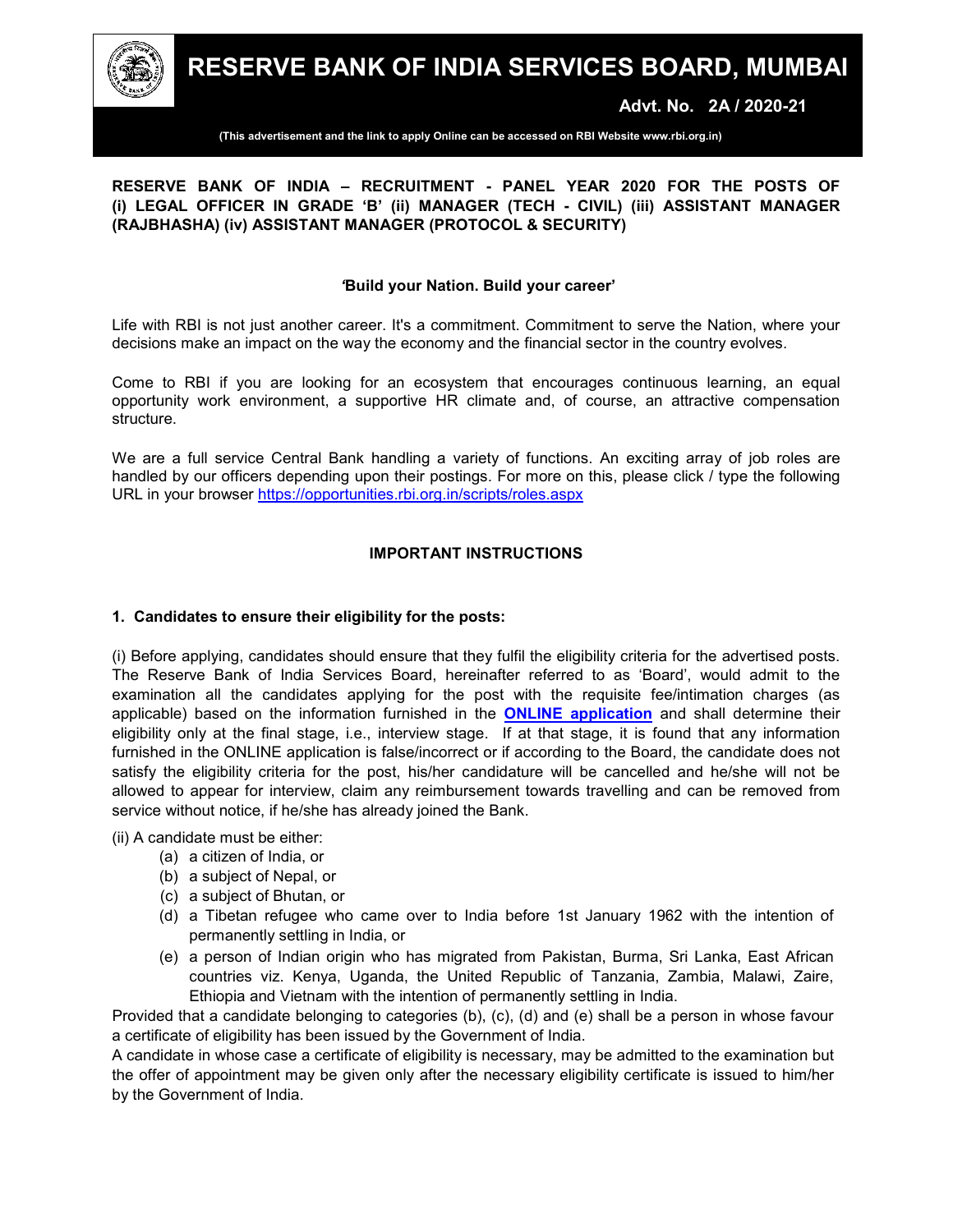**RESERVE BANK OF INDIA SERVICES BOARD, MUMBAI**



 **Advt. No. 2A / 2020-21**

**(This advertisement and the link to apply Online can be accessed on RBI Website www.rbi.org.in)**

# **RESERVE BANK OF INDIA – RECRUITMENT - PANEL YEAR 2020 FOR THE POSTS OF (i) LEGAL OFFICER IN GRADE 'B' (ii) MANAGER (TECH - CIVIL) (iii) ASSISTANT MANAGER (RAJBHASHA) (iv) ASSISTANT MANAGER (PROTOCOL & SECURITY)**

## *'***Build your Nation. Build your career'**

Life with RBI is not just another career. It's a commitment. Commitment to serve the Nation, where your decisions make an impact on the way the economy and the financial sector in the country evolves.

Come to RBI if you are looking for an ecosystem that encourages continuous learning, an equal opportunity work environment, a supportive HR climate and, of course, an attractive compensation structure.

We are a full service Central Bank handling a variety of functions. An exciting array of job roles are handled by our officers depending upon their postings. For more on this, please click / type the following URL in your browser <https://opportunities.rbi.org.in/scripts/roles.aspx>

## **IMPORTANT INSTRUCTIONS**

#### **1. Candidates to ensure their eligibility for the posts:**

(i) Before applying, candidates should ensure that they fulfil the eligibility criteria for the advertised posts. The Reserve Bank of India Services Board, hereinafter referred to as 'Board', would admit to the examination all the candidates applying for the post with the requisite fee/intimation charges (as applicable) based on the information furnished in the **ONLINE [application](https://ibpsonline.ibps.in/rbisbvpfeb21/)** and shall determine their eligibility only at the final stage, i.e., interview stage. If at that stage, it is found that any information furnished in the ONLINE application is false/incorrect or if according to the Board, the candidate does not satisfy the eligibility criteria for the post, his/her candidature will be cancelled and he/she will not be allowed to appear for interview, claim any reimbursement towards travelling and can be removed from service without notice, if he/she has already joined the Bank.

(ii) A candidate must be either:

- (a) a citizen of India, or
- (b) a subject of Nepal, or
- (c) a subject of Bhutan, or
- (d) a Tibetan refugee who came over to India before 1st January 1962 with the intention of permanently settling in India, or
- (e) a person of Indian origin who has migrated from Pakistan, Burma, Sri Lanka, East African countries viz. Kenya, Uganda, the United Republic of Tanzania, Zambia, Malawi, Zaire, Ethiopia and Vietnam with the intention of permanently settling in India.

Provided that a candidate belonging to categories (b), (c), (d) and (e) shall be a person in whose favour a certificate of eligibility has been issued by the Government of India.

A candidate in whose case a certificate of eligibility is necessary, may be admitted to the examination but the offer of appointment may be given only after the necessary eligibility certificate is issued to him/her by the Government of India.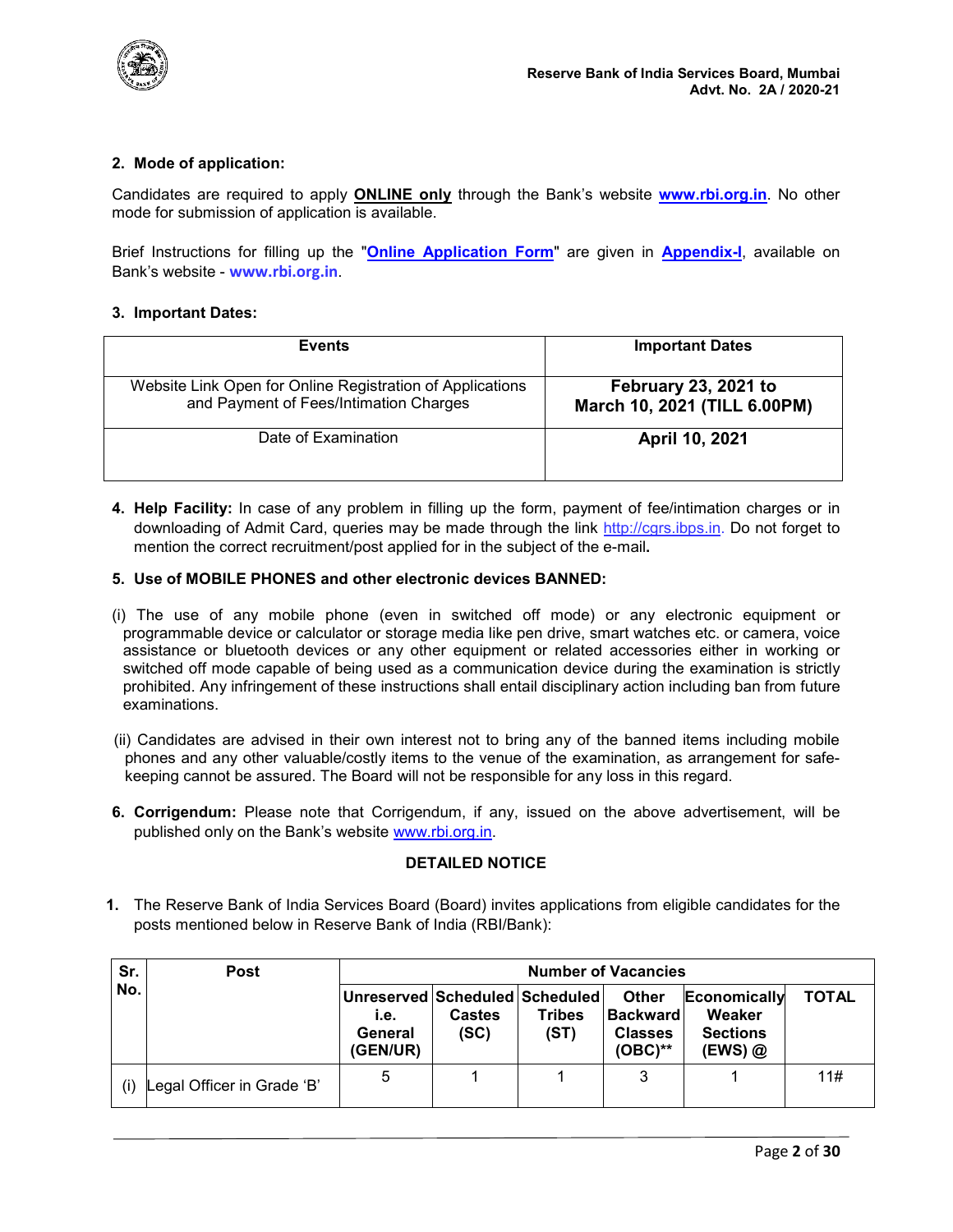

# **2. Mode of application:**

Candidates are required to apply **ONLINE only** through the Bank's website **[www.rbi.org.in](https://www.rbi.org.in/)**. No other mode for submission of application is available.

Brief Instructions for filling up the "**Online [Application Form](https://ibpsonline.ibps.in/rbisbvpfeb21/)**" are given in **[Appendix-I](#page-19-0)**, available on Bank's website - **[www.rbi.org.in](https://www.rbi.org.in/)**.

#### **3. Important Dates:**

| <b>Events</b>                                                                                       | <b>Important Dates</b>                               |
|-----------------------------------------------------------------------------------------------------|------------------------------------------------------|
| Website Link Open for Online Registration of Applications<br>and Payment of Fees/Intimation Charges | February 23, 2021 to<br>March 10, 2021 (TILL 6.00PM) |
| Date of Examination                                                                                 | April 10, 2021                                       |

**4. Help Facility:** In case of any problem in filling up the form, payment of fee/intimation charges or in downloading of Admit Card, queries may be made through the link [http://cgrs.ibps.in.](https://cgrs.ibps.in/) Do not forget to mention the correct recruitment/post applied for in the subject of the e-mail**.**

#### **5. Use of MOBILE PHONES and other electronic devices BANNED:**

- (i) The use of any mobile phone (even in switched off mode) or any electronic equipment or programmable device or calculator or storage media like pen drive, smart watches etc. or camera, voice assistance or bluetooth devices or any other equipment or related accessories either in working or switched off mode capable of being used as a communication device during the examination is strictly prohibited. Any infringement of these instructions shall entail disciplinary action including ban from future examinations.
- (ii) Candidates are advised in their own interest not to bring any of the banned items including mobile phones and any other valuable/costly items to the venue of the examination, as arrangement for safekeeping cannot be assured. The Board will not be responsible for any loss in this regard.
- **6. Corrigendum:** Please note that Corrigendum, if any, issued on the above advertisement, will be published only on the Bank's website [www.rbi.org.in.](https://www.rbi.org.in/)

#### **DETAILED NOTICE**

**1.** The Reserve Bank of India Services Board (Board) invites applications from eligible candidates for the posts mentioned below in Reserve Bank of India (RBI/Bank):

| Sr. | <b>Post</b>                | <b>Number of Vacancies</b>                                    |                       |                       |                                                     |                                                                 |              |
|-----|----------------------------|---------------------------------------------------------------|-----------------------|-----------------------|-----------------------------------------------------|-----------------------------------------------------------------|--------------|
| No. |                            | Unreserved Scheduled Scheduled<br>i.e.<br>General<br>(GEN/UR) | <b>Castes</b><br>(SC) | <b>Tribes</b><br>(ST) | Other<br>∣Backward∣<br><b>Classes</b><br>$(OBC)$ ** | <b>Economically</b><br>Weaker<br><b>Sections</b><br>$(EWS)$ $@$ | <b>TOTAL</b> |
| (i) | Legal Officer in Grade 'B' | 5                                                             |                       |                       | 3                                                   |                                                                 | 11#          |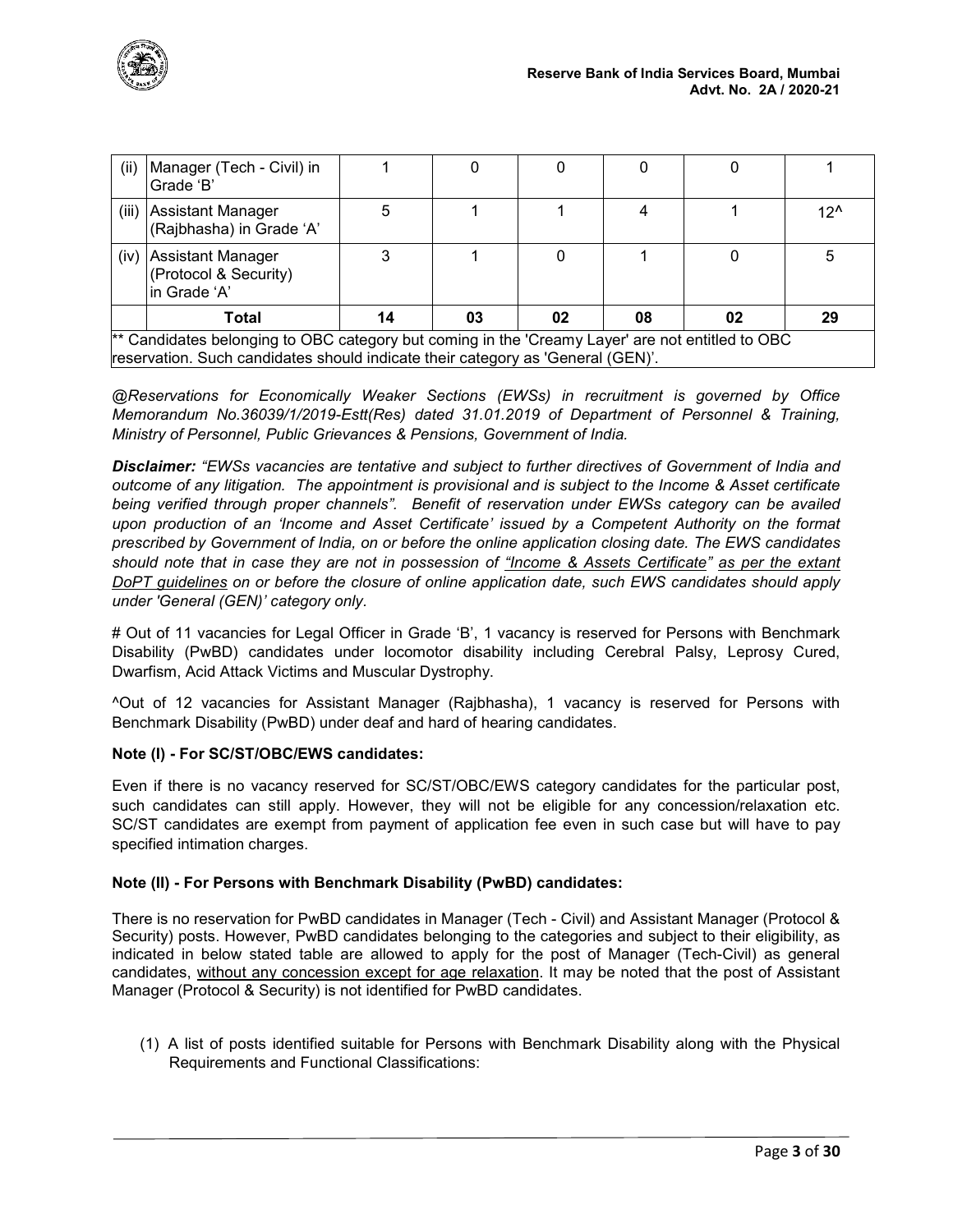

| (ii)  | Manager (Tech - Civil) in<br>Grade 'B'                                                                                                                                              |  |    |    |    |    |                 |
|-------|-------------------------------------------------------------------------------------------------------------------------------------------------------------------------------------|--|----|----|----|----|-----------------|
| (iii) | <b>Assistant Manager</b><br>(Rajbhasha) in Grade 'A'                                                                                                                                |  |    |    |    |    | 12 <sup>0</sup> |
| (iv)  | <b>Assistant Manager</b><br>(Protocol & Security)<br>in Grade 'A'                                                                                                                   |  |    |    |    |    |                 |
|       | Total                                                                                                                                                                               |  | 03 | 02 | 08 | 02 | 29              |
|       | ** Candidates belonging to OBC category but coming in the 'Creamy Layer' are not entitled to OBC<br>reservation. Such candidates should indicate their category as 'General (GEN)'. |  |    |    |    |    |                 |

*@Reservations for Economically Weaker Sections (EWSs) in recruitment is governed by Office Memorandum No.36039/1/2019-Estt(Res) dated 31.01.2019 of Department of Personnel & Training, Ministry of Personnel, Public Grievances & Pensions, Government of India.* 

*Disclaimer: "EWSs vacancies are tentative and subject to further directives of Government of India and outcome of any litigation. The appointment is provisional and is subject to the Income & Asset certificate being verified through proper channels". Benefit of reservation under EWSs category can be availed*  upon production of an 'Income and Asset Certificate' issued by a Competent Authority on the format *prescribed by Government of India, on or before the online application closing date. The EWS candidates should note that in case they are not in possession of "Income & Assets Certificate" as per the extant DoPT guidelines on or before the closure of online application date, such EWS candidates should apply under 'General (GEN)' category only.*

# Out of 11 vacancies for Legal Officer in Grade 'B', 1 vacancy is reserved for Persons with Benchmark Disability (PwBD) candidates under locomotor disability including Cerebral Palsy, Leprosy Cured, Dwarfism, Acid Attack Victims and Muscular Dystrophy.

^Out of 12 vacancies for Assistant Manager (Rajbhasha), 1 vacancy is reserved for Persons with Benchmark Disability (PwBD) under deaf and hard of hearing candidates.

# **Note (I) - For SC/ST/OBC/EWS candidates:**

Even if there is no vacancy reserved for SC/ST/OBC/EWS category candidates for the particular post, such candidates can still apply. However, they will not be eligible for any concession/relaxation etc. SC/ST candidates are exempt from payment of application fee even in such case but will have to pay specified intimation charges.

#### **Note (II) - For Persons with Benchmark Disability (PwBD) candidates:**

There is no reservation for PwBD candidates in Manager (Tech - Civil) and Assistant Manager (Protocol & Security) posts. However, PwBD candidates belonging to the categories and subject to their eligibility, as indicated in below stated table are allowed to apply for the post of Manager (Tech-Civil) as general candidates, without any concession except for age relaxation. It may be noted that the post of Assistant Manager (Protocol & Security) is not identified for PwBD candidates.

(1) A list of posts identified suitable for Persons with Benchmark Disability along with the Physical Requirements and Functional Classifications: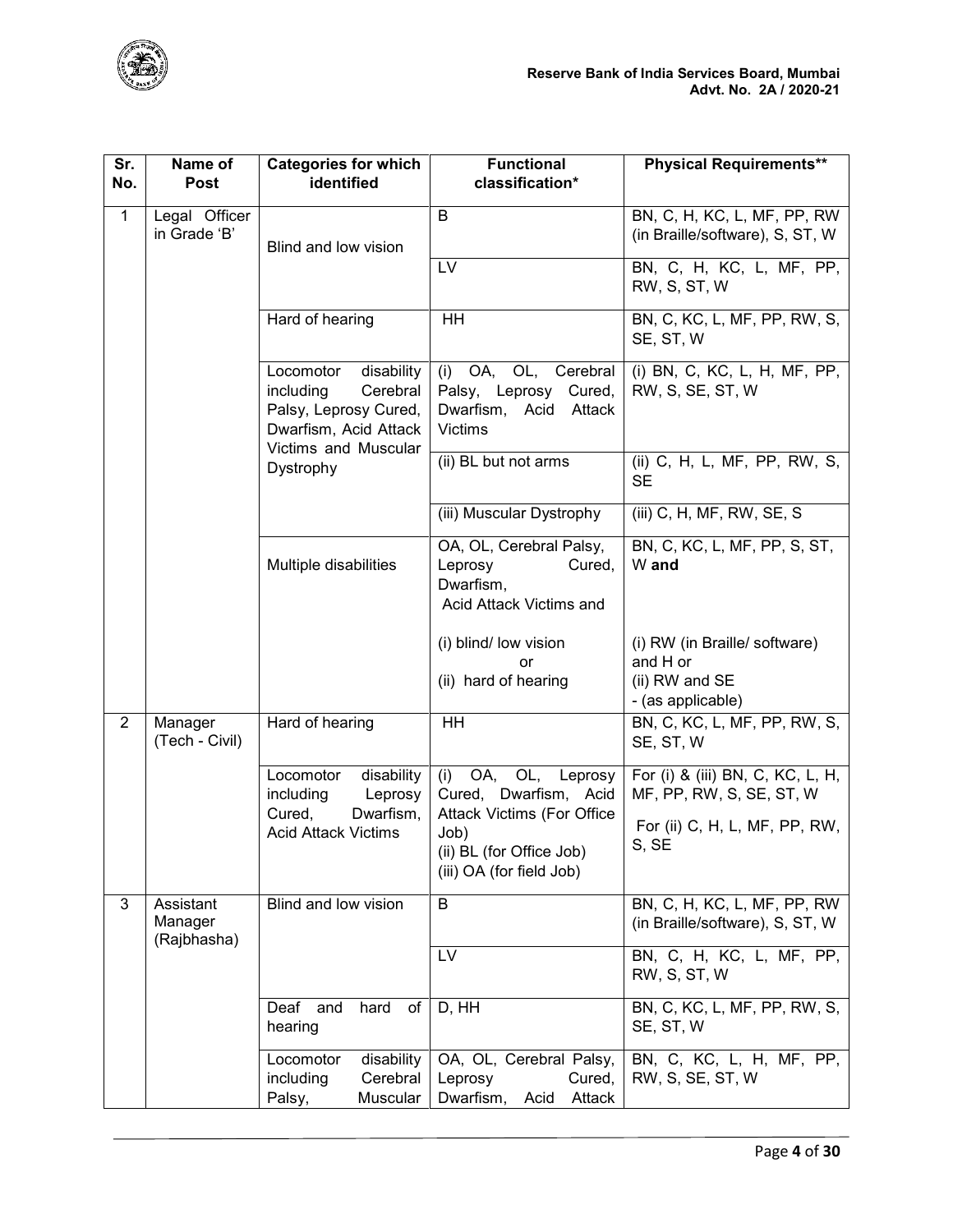

| Sr.<br>No.     | Name of<br><b>Post</b>              | Categories for which<br>identified                                                                                         | <b>Functional</b><br>classification*                                                       | <b>Physical Requirements**</b>                                                   |
|----------------|-------------------------------------|----------------------------------------------------------------------------------------------------------------------------|--------------------------------------------------------------------------------------------|----------------------------------------------------------------------------------|
| $\mathbf{1}$   | Legal Officer<br>in Grade 'B'       | Blind and low vision                                                                                                       | B                                                                                          | BN, C, H, KC, L, MF, PP, RW<br>(in Braille/software), S, ST, W                   |
|                |                                     |                                                                                                                            | LV                                                                                         | BN, C, H, KC, L, MF, PP,<br><b>RW, S, ST, W</b>                                  |
|                |                                     | Hard of hearing                                                                                                            | <b>HH</b>                                                                                  | BN, C, KC, L, MF, PP, RW, S,<br>SE, ST, W                                        |
|                |                                     | Locomotor<br>disability<br>including<br>Cerebral<br>Palsy, Leprosy Cured,<br>Dwarfism, Acid Attack<br>Victims and Muscular | (i) OA, OL, Cerebral<br>Palsy, Leprosy Cured,<br>Dwarfism, Acid Attack<br><b>Victims</b>   | (i) BN, C, KC, L, H, MF, PP,<br>RW, S, SE, ST, W                                 |
|                |                                     | Dystrophy                                                                                                                  | (ii) BL but not arms                                                                       | (ii) C, H, L, MF, PP, RW, S,<br><b>SE</b>                                        |
|                |                                     |                                                                                                                            | (iii) Muscular Dystrophy                                                                   | (iii) C, H, MF, RW, SE, S                                                        |
|                |                                     | Multiple disabilities                                                                                                      | OA, OL, Cerebral Palsy,<br>Leprosy<br>Cured,<br>Dwarfism,<br>Acid Attack Victims and       | BN, C, KC, L, MF, PP, S, ST,<br>W and                                            |
|                |                                     |                                                                                                                            | (i) blind/ low vision<br>or<br>(ii) hard of hearing                                        | (i) RW (in Braille/ software)<br>and H or<br>(ii) RW and SE<br>- (as applicable) |
| $\overline{2}$ | Manager<br>(Tech - Civil)           | Hard of hearing                                                                                                            | HH                                                                                         | BN, C, KC, L, MF, PP, RW, S,<br>SE, ST, W                                        |
|                |                                     | Locomotor<br>disability<br>including<br>Leprosy<br>Dwarfism,<br>Cured,                                                     | (i)<br>OA,<br>OL,<br>Leprosy<br>Cured, Dwarfism, Acid<br><b>Attack Victims (For Office</b> | For (i) & (iii) BN, C, KC, L, H,<br>MF, PP, RW, S, SE, ST, W                     |
|                |                                     | <b>Acid Attack Victims</b>                                                                                                 | Job)<br>(ii) BL (for Office Job)<br>(iii) OA (for field Job)                               | For (ii) C, H, L, MF, PP, RW,<br>S, SE                                           |
| 3              | Assistant<br>Manager<br>(Rajbhasha) | Blind and low vision                                                                                                       | B                                                                                          | BN, C, H, KC, L, MF, PP, RW<br>(in Braille/software), S, ST, W                   |
|                |                                     |                                                                                                                            | LV                                                                                         | BN, C, H, KC, L, MF, PP,<br><b>RW, S, ST, W</b>                                  |
|                |                                     | Deaf<br>and<br>hard<br>of<br>hearing                                                                                       | D, HH                                                                                      | BN, C, KC, L, MF, PP, RW, S,<br>SE, ST, W                                        |
|                |                                     | disability<br>Locomotor<br>Cerebral<br>including<br>Muscular<br>Palsy,                                                     | OA, OL, Cerebral Palsy,<br>Leprosy<br>Cured,<br>Dwarfism,<br>Attack<br>Acid                | BN, C, KC, L, H, MF, PP,<br>RW, S, SE, ST, W                                     |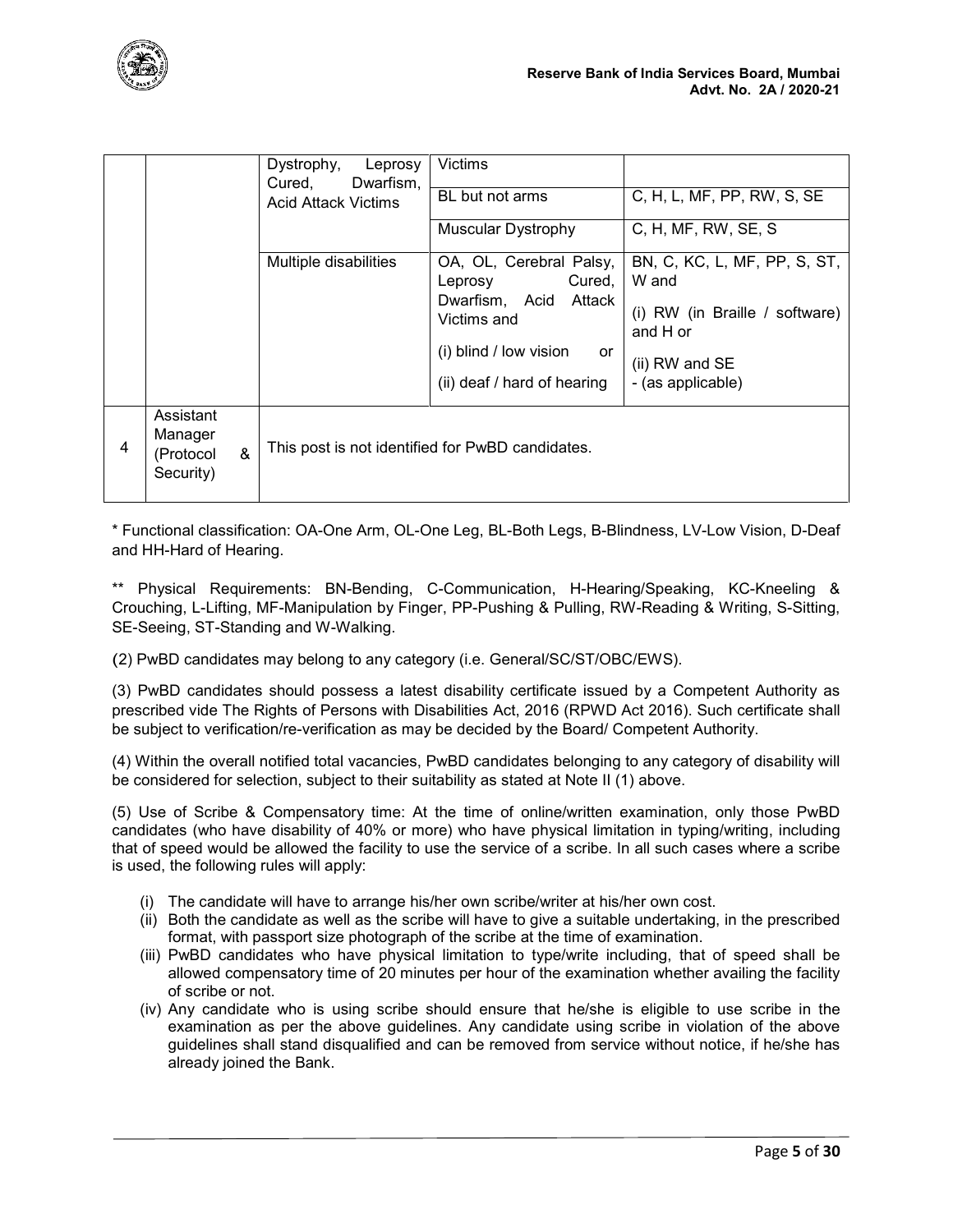

|   |                                                     | Dystrophy,<br>Leprosy<br>Dwarfism,<br>Cured, | Victims                                          |                                            |
|---|-----------------------------------------------------|----------------------------------------------|--------------------------------------------------|--------------------------------------------|
|   |                                                     | <b>Acid Attack Victims</b>                   | BL but not arms                                  | C, H, L, MF, PP, RW, S, SE                 |
|   |                                                     |                                              | <b>Muscular Dystrophy</b>                        | C, H, MF, RW, SE, S                        |
|   |                                                     | Multiple disabilities                        | OA, OL, Cerebral Palsy,<br>Cured,<br>Leprosy     | BN, C, KC, L, MF, PP, S, ST,<br>W and      |
|   |                                                     |                                              | Dwarfism, Acid<br>Attack<br>Victims and          | (i) RW (in Braille / software)<br>and H or |
|   |                                                     |                                              | (i) blind / low vision<br>or                     | (ii) RW and SE                             |
|   |                                                     |                                              | (ii) deaf / hard of hearing                      | - (as applicable)                          |
| 4 | Assistant<br>Manager<br>&<br>(Protocol<br>Security) |                                              | This post is not identified for PwBD candidates. |                                            |

\* Functional classification: OA-One Arm, OL-One Leg, BL-Both Legs, B-Blindness, LV-Low Vision, D-Deaf and HH-Hard of Hearing.

\*\* Physical Requirements: BN-Bending, C-Communication, H-Hearing/Speaking, KC-Kneeling & Crouching, L-Lifting, MF-Manipulation by Finger, PP-Pushing & Pulling, RW-Reading & Writing, S-Sitting, SE-Seeing, ST-Standing and W-Walking.

(2) PwBD candidates may belong to any category (i.e. General/SC/ST/OBC/EWS).

(3) PwBD candidates should possess a latest disability certificate issued by a Competent Authority as prescribed vide The Rights of Persons with Disabilities Act, 2016 (RPWD Act 2016). Such certificate shall be subject to verification/re-verification as may be decided by the Board/ Competent Authority.

(4) Within the overall notified total vacancies, PwBD candidates belonging to any category of disability will be considered for selection, subject to their suitability as stated at Note II (1) above.

(5) Use of Scribe & Compensatory time: At the time of online/written examination, only those PwBD candidates (who have disability of 40% or more) who have physical limitation in typing/writing, including that of speed would be allowed the facility to use the service of a scribe. In all such cases where a scribe is used, the following rules will apply:

- (i) The candidate will have to arrange his/her own scribe/writer at his/her own cost.
- (ii) Both the candidate as well as the scribe will have to give a suitable undertaking, in the prescribed format, with passport size photograph of the scribe at the time of examination.
- (iii) PwBD candidates who have physical limitation to type/write including, that of speed shall be allowed compensatory time of 20 minutes per hour of the examination whether availing the facility of scribe or not.
- (iv) Any candidate who is using scribe should ensure that he/she is eligible to use scribe in the examination as per the above guidelines. Any candidate using scribe in violation of the above guidelines shall stand disqualified and can be removed from service without notice, if he/she has already joined the Bank.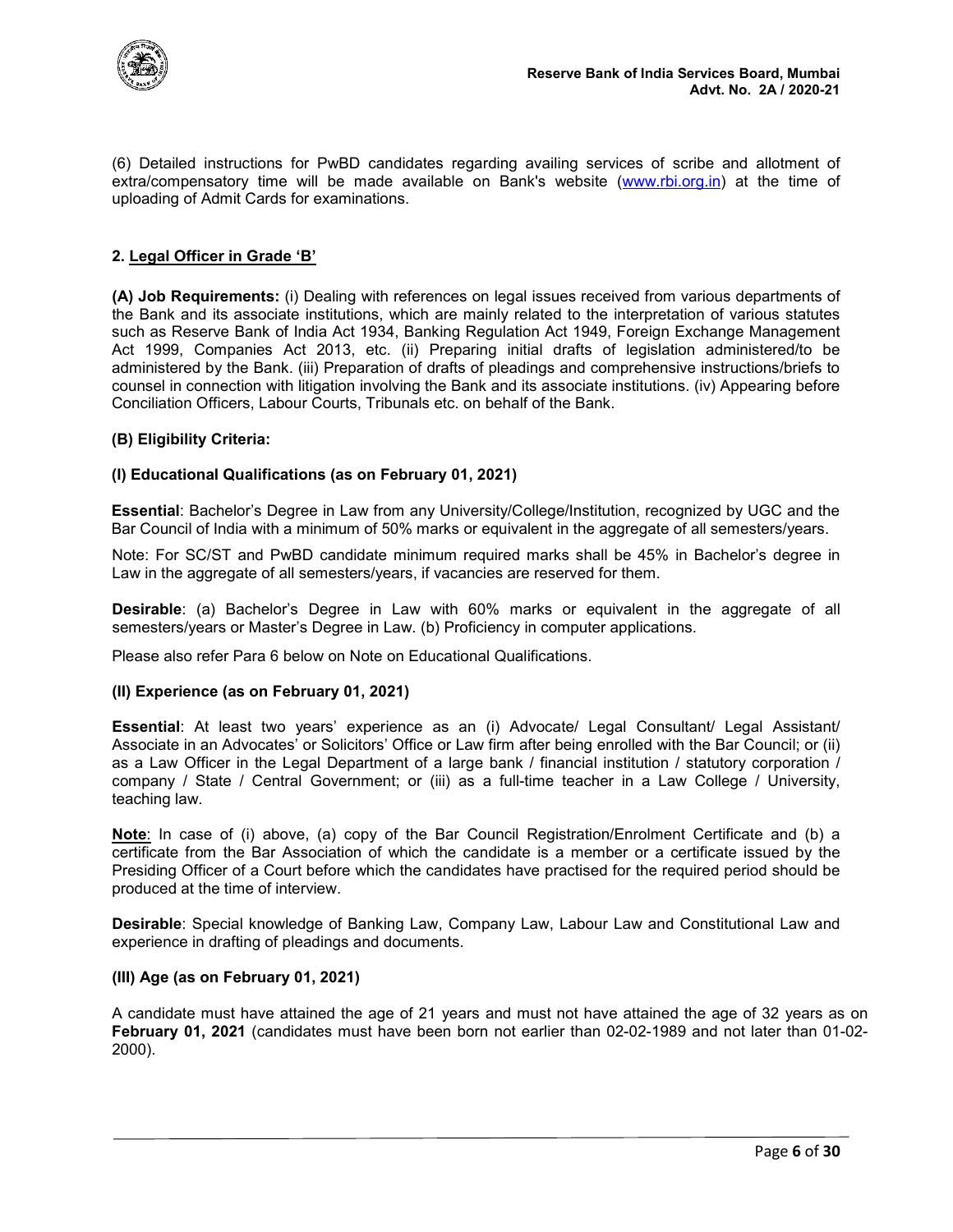

(6) Detailed instructions for PwBD candidates regarding availing services of scribe and allotment of extra/compensatory time will be made available on Bank's website [\(www.rbi.org.in\)](https://www.rbi.org.in/) at the time of uploading of Admit Cards for examinations.

## **2. Legal Officer in Grade 'B'**

**(A) Job Requirements:** (i) Dealing with references on legal issues received from various departments of the Bank and its associate institutions, which are mainly related to the interpretation of various statutes such as Reserve Bank of India Act 1934, Banking Regulation Act 1949, Foreign Exchange Management Act 1999, Companies Act 2013, etc. (ii) Preparing initial drafts of legislation administered/to be administered by the Bank. (iii) Preparation of drafts of pleadings and comprehensive instructions/briefs to counsel in connection with litigation involving the Bank and its associate institutions. (iv) Appearing before Conciliation Officers, Labour Courts, Tribunals etc. on behalf of the Bank.

#### **(B) Eligibility Criteria:**

#### **(I) Educational Qualifications (as on February 01, 2021)**

**Essential**: Bachelor's Degree in Law from any University/College/Institution, recognized by UGC and the Bar Council of India with a minimum of 50% marks or equivalent in the aggregate of all semesters/years.

Note: For SC/ST and PwBD candidate minimum required marks shall be 45% in Bachelor's degree in Law in the aggregate of all semesters/years, if vacancies are reserved for them.

**Desirable**: (a) Bachelor's Degree in Law with 60% marks or equivalent in the aggregate of all semesters/years or Master's Degree in Law. (b) Proficiency in computer applications.

Please also refer Para 6 below on Note on Educational Qualifications.

#### **(II) Experience (as on February 01, 2021)**

**Essential**: At least two years' experience as an (i) Advocate/ Legal Consultant/ Legal Assistant/ Associate in an Advocates' or Solicitors' Office or Law firm after being enrolled with the Bar Council; or (ii) as a Law Officer in the Legal Department of a large bank / financial institution / statutory corporation / company / State / Central Government; or (iii) as a full-time teacher in a Law College / University, teaching law.

**Note**: In case of (i) above, (a) copy of the Bar Council Registration/Enrolment Certificate and (b) a certificate from the Bar Association of which the candidate is a member or a certificate issued by the Presiding Officer of a Court before which the candidates have practised for the required period should be produced at the time of interview.

**Desirable**: Special knowledge of Banking Law, Company Law, Labour Law and Constitutional Law and experience in drafting of pleadings and documents.

#### **(III) Age (as on February 01, 2021)**

A candidate must have attained the age of 21 years and must not have attained the age of 32 years as on **February 01, 2021** (candidates must have been born not earlier than 02-02-1989 and not later than 01-02- 2000).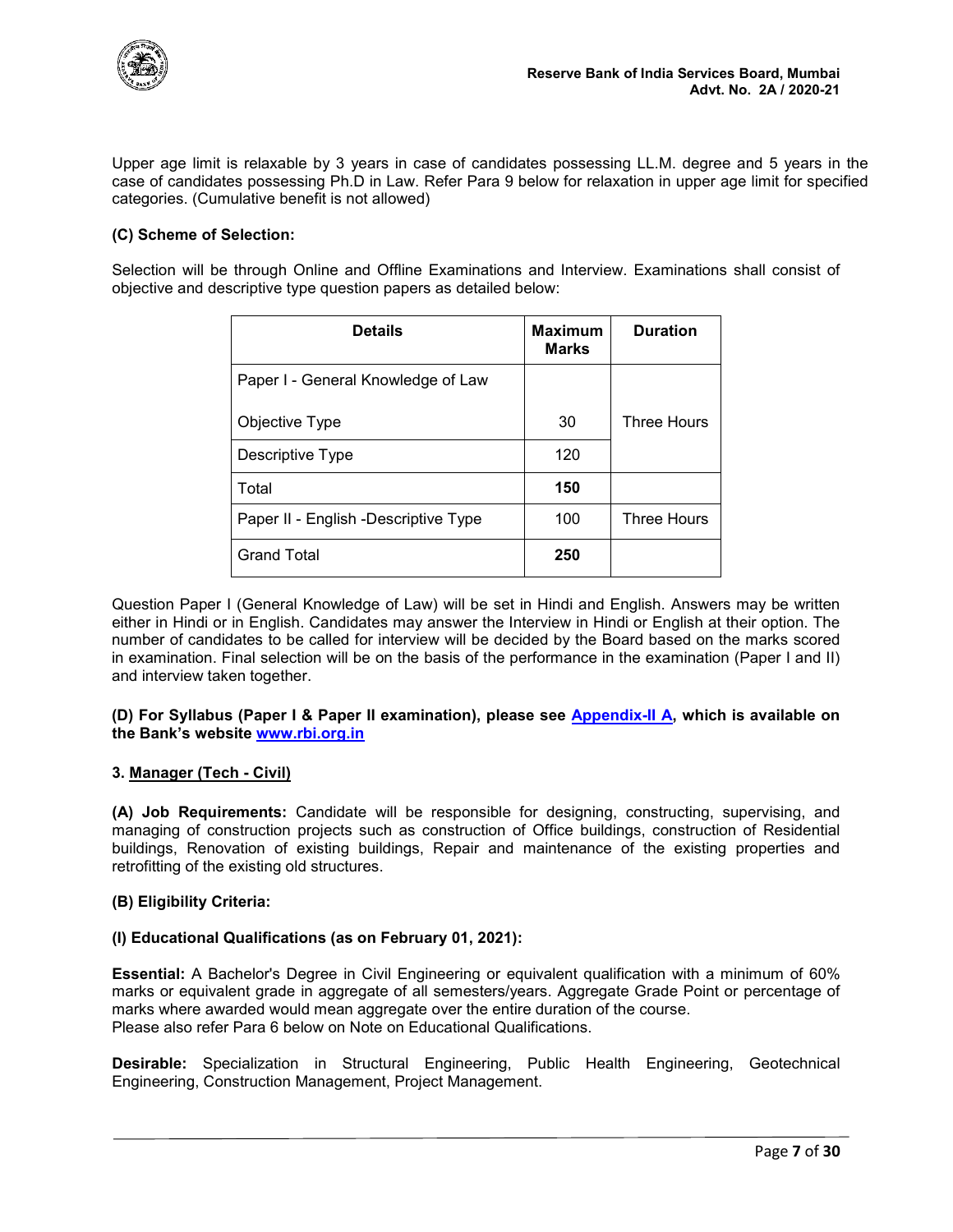

Upper age limit is relaxable by 3 years in case of candidates possessing LL.M. degree and 5 years in the case of candidates possessing Ph.D in Law. Refer Para 9 below for relaxation in upper age limit for specified categories. (Cumulative benefit is not allowed)

## **(C) Scheme of Selection:**

Selection will be through Online and Offline Examinations and Interview. Examinations shall consist of objective and descriptive type question papers as detailed below:

| <b>Details</b>                       | <b>Maximum</b><br><b>Marks</b> | <b>Duration</b>    |
|--------------------------------------|--------------------------------|--------------------|
| Paper I - General Knowledge of Law   |                                |                    |
| Objective Type                       | 30                             | <b>Three Hours</b> |
| Descriptive Type                     | 120                            |                    |
| Total                                | 150                            |                    |
| Paper II - English -Descriptive Type | 100                            | <b>Three Hours</b> |
| <b>Grand Total</b>                   | 250                            |                    |

Question Paper I (General Knowledge of Law) will be set in Hindi and English. Answers may be written either in Hindi or in English. Candidates may answer the Interview in Hindi or English at their option. The number of candidates to be called for interview will be decided by the Board based on the marks scored in examination. Final selection will be on the basis of the performance in the examination (Paper I and II) and interview taken together.

### **(D) For Syllabus (Paper I & Paper II examination), please see [Appendix-II](#page-24-0) A, which is available on the Bank's website [www.rbi.org.in](https://www.rbi.org.in/)**

#### **3. Manager (Tech - Civil)**

**(A) Job Requirements:** Candidate will be responsible for designing, constructing, supervising, and managing of construction projects such as construction of Office buildings, construction of Residential buildings, Renovation of existing buildings, Repair and maintenance of the existing properties and retrofitting of the existing old structures.

#### **(B) Eligibility Criteria:**

#### **(I) Educational Qualifications (as on February 01, 2021):**

**Essential:** A Bachelor's Degree in Civil Engineering or equivalent qualification with a minimum of 60% marks or equivalent grade in aggregate of all semesters/years. Aggregate Grade Point or percentage of marks where awarded would mean aggregate over the entire duration of the course. Please also refer [Para 6](https://opportunities.rbi.org.in/Scripts/bs_viewcontent.aspx?Id=3321#PA4) below on Note on Educational Qualifications.

**Desirable:** Specialization in Structural Engineering, Public Health Engineering, Geotechnical Engineering, Construction Management, Project Management.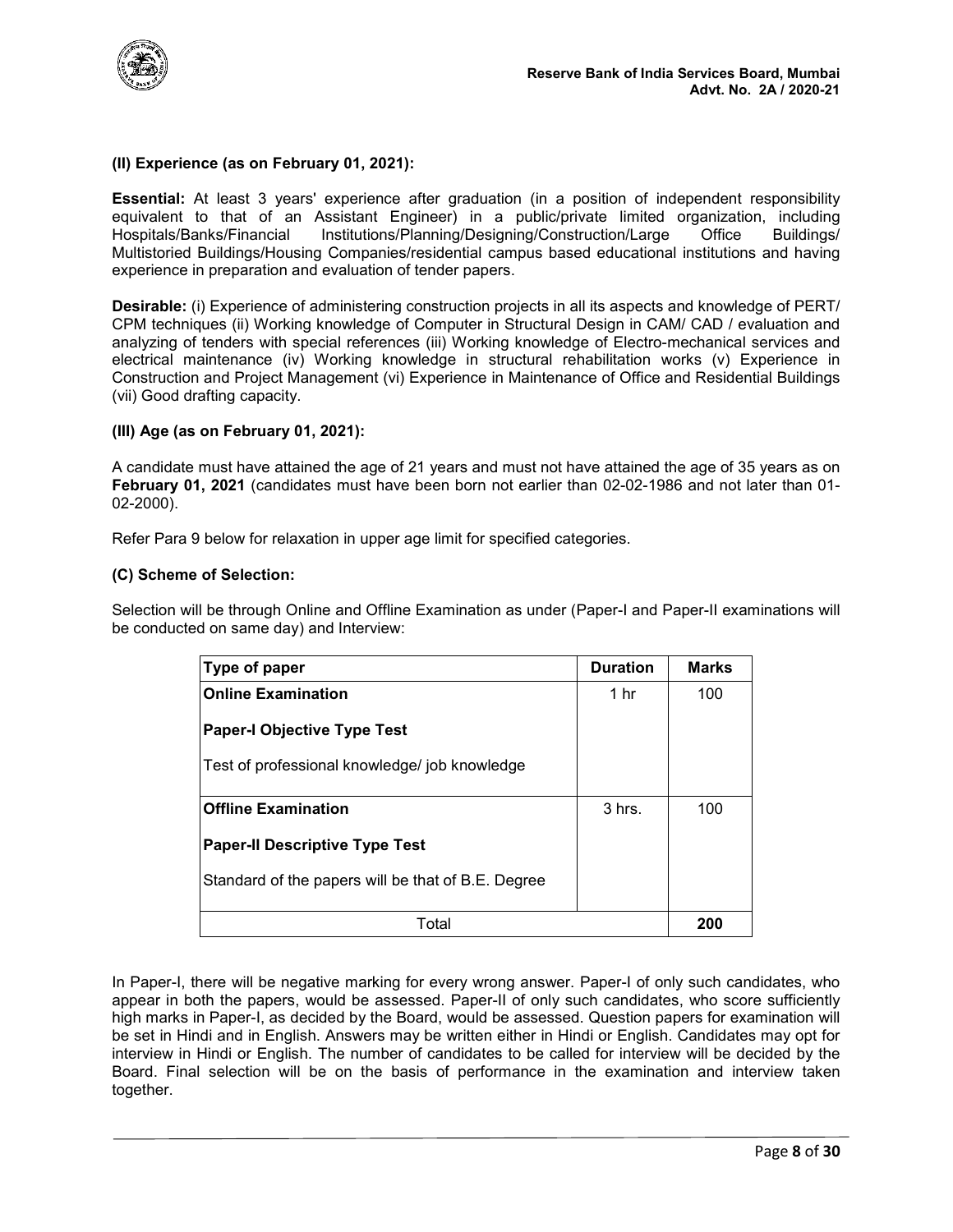

## **(II) Experience (as on February 01, 2021):**

**Essential:** At least 3 years' experience after graduation (in a position of independent responsibility equivalent to that of an Assistant Engineer) in a public/private limited organization, including Hospitals/Banks/Financial Institutions/Planning/Designing/Construction/Large Office Buildings/ Multistoried Buildings/Housing Companies/residential campus based educational institutions and having experience in preparation and evaluation of tender papers.

**Desirable:** (i) Experience of administering construction projects in all its aspects and knowledge of PERT/ CPM techniques (ii) Working knowledge of Computer in Structural Design in CAM/ CAD / evaluation and analyzing of tenders with special references (iii) Working knowledge of Electro-mechanical services and electrical maintenance (iv) Working knowledge in structural rehabilitation works (v) Experience in Construction and Project Management (vi) Experience in Maintenance of Office and Residential Buildings (vii) Good drafting capacity.

## **(III) Age (as on February 01, 2021):**

A candidate must have attained the age of 21 years and must not have attained the age of 35 years as on **February 01, 2021** (candidates must have been born not earlier than 02-02-1986 and not later than 01- 02-2000).

Refer Para 9 below for relaxation in upper age limit for specified categories.

#### **(C) Scheme of Selection:**

Selection will be through Online and Offline Examination as under (Paper-I and Paper-II examinations will be conducted on same day) and Interview:

| Type of paper                                                                       | <b>Duration</b> | <b>Marks</b> |
|-------------------------------------------------------------------------------------|-----------------|--------------|
| <b>Online Examination</b>                                                           | 1 <sub>hr</sub> | 100          |
| <b>Paper-I Objective Type Test</b><br>Test of professional knowledge/ job knowledge |                 |              |
| <b>Offline Examination</b>                                                          | $3$ hrs.        | 100          |
| <b>Paper-II Descriptive Type Test</b>                                               |                 |              |
| Standard of the papers will be that of B.E. Degree                                  |                 |              |
| Total                                                                               |                 | 200          |

In Paper-I, there will be negative marking for every wrong answer. Paper-I of only such candidates, who appear in both the papers, would be assessed. Paper-II of only such candidates, who score sufficiently high marks in Paper-I, as decided by the Board, would be assessed. Question papers for examination will be set in Hindi and in English. Answers may be written either in Hindi or English. Candidates may opt for interview in Hindi or English. The number of candidates to be called for interview will be decided by the Board. Final selection will be on the basis of performance in the examination and interview taken together.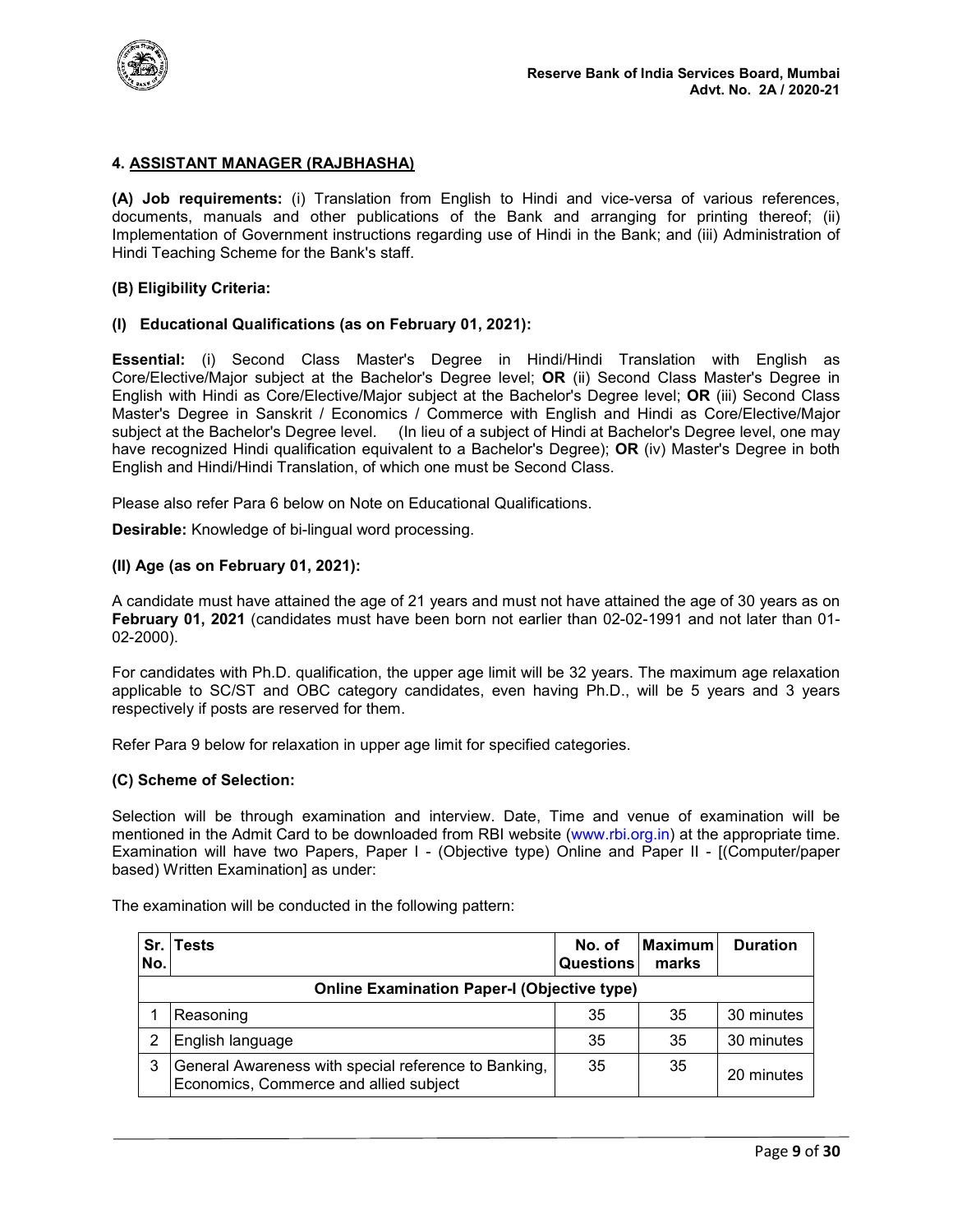

### **4. ASSISTANT MANAGER (RAJBHASHA)**

**(A) Job requirements:** (i) Translation from English to Hindi and vice-versa of various references, documents, manuals and other publications of the Bank and arranging for printing thereof; (ii) Implementation of Government instructions regarding use of Hindi in the Bank; and (iii) Administration of Hindi Teaching Scheme for the Bank's staff.

#### **(B) Eligibility Criteria:**

#### **(I) Educational Qualifications (as on February 01, 2021):**

**Essential:** (i) Second Class Master's Degree in Hindi/Hindi Translation with English as Core/Elective/Major subject at the Bachelor's Degree level; **OR** (ii) Second Class Master's Degree in English with Hindi as Core/Elective/Major subject at the Bachelor's Degree level; **OR** (iii) Second Class Master's Degree in Sanskrit / Economics / Commerce with English and Hindi as Core/Elective/Major subject at the Bachelor's Degree level. (In lieu of a subject of Hindi at Bachelor's Degree level, one may have recognized Hindi qualification equivalent to a Bachelor's Degree); **OR** (iv) Master's Degree in both English and Hindi/Hindi Translation, of which one must be Second Class.

Please also refer Para 6 below on Note on Educational Qualifications.

**Desirable:** Knowledge of bi-lingual word processing.

#### **(II) Age (as on February 01, 2021):**

A candidate must have attained the age of 21 years and must not have attained the age of 30 years as on **February 01, 2021** (candidates must have been born not earlier than 02-02-1991 and not later than 01- 02-2000).

For candidates with Ph.D. qualification, the upper age limit will be 32 years. The maximum age relaxation applicable to SC/ST and OBC category candidates, even having Ph.D., will be 5 years and 3 years respectively if posts are reserved for them.

Refer Para 9 below for relaxation in upper age limit for specified categories.

#### **(C) Scheme of Selection:**

Selection will be through examination and interview. Date, Time and venue of examination will be mentioned in the Admit Card to be downloaded from RBI website [\(www.rbi.org.in\)](https://www.rbi.org.in/) at the appropriate time. Examination will have two Papers, Paper I - (Objective type) Online and Paper II - [(Computer/paper based) Written Examination] as under:

The examination will be conducted in the following pattern:

| No. | Sr. Tests                                                                                      | No. of<br><b>Questions</b> | <b>Maximum</b><br>marks | <b>Duration</b> |
|-----|------------------------------------------------------------------------------------------------|----------------------------|-------------------------|-----------------|
|     | <b>Online Examination Paper-I (Objective type)</b>                                             |                            |                         |                 |
|     | Reasoning                                                                                      | 35                         | 35                      | 30 minutes      |
| 2   | English language                                                                               | 35                         | 35                      | 30 minutes      |
| 3   | General Awareness with special reference to Banking,<br>Economics, Commerce and allied subject | 35                         | 35                      | 20 minutes      |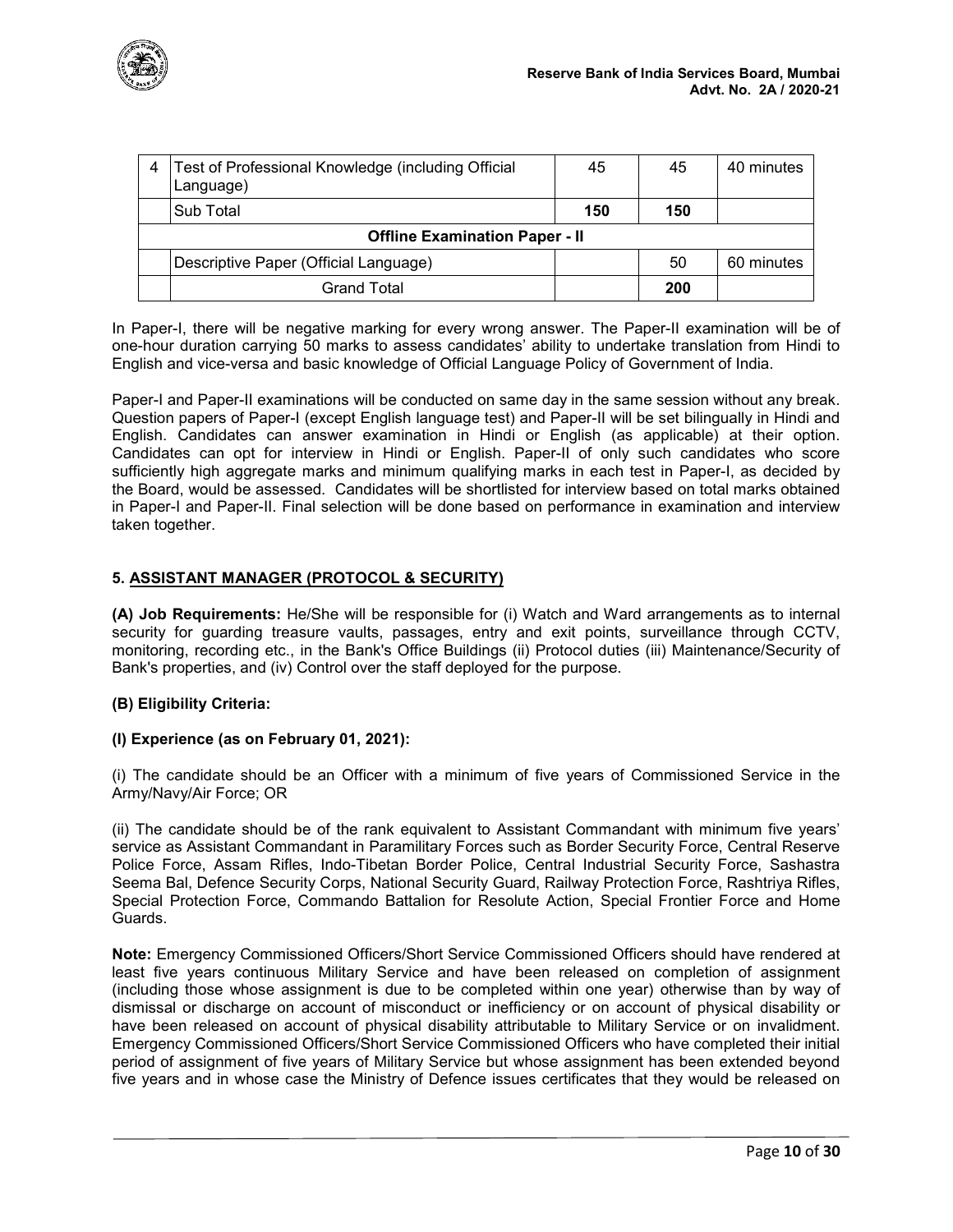

| 4 | Test of Professional Knowledge (including Official<br>Language) |     | 45  | 40 minutes |
|---|-----------------------------------------------------------------|-----|-----|------------|
|   | Sub Total                                                       | 150 | 150 |            |
|   | <b>Offline Examination Paper - II</b>                           |     |     |            |
|   | Descriptive Paper (Official Language)                           |     | 50  | 60 minutes |
|   | Grand Total                                                     |     | 200 |            |

In Paper-I, there will be negative marking for every wrong answer. The Paper-II examination will be of one-hour duration carrying 50 marks to assess candidates' ability to undertake translation from Hindi to English and vice-versa and basic knowledge of Official Language Policy of Government of India.

Paper-I and Paper-II examinations will be conducted on same day in the same session without any break. Question papers of Paper-I (except English language test) and Paper-II will be set bilingually in Hindi and English. Candidates can answer examination in Hindi or English (as applicable) at their option. Candidates can opt for interview in Hindi or English. Paper-II of only such candidates who score sufficiently high aggregate marks and minimum qualifying marks in each test in Paper-I, as decided by the Board, would be assessed. Candidates will be shortlisted for interview based on total marks obtained in Paper-I and Paper-II. Final selection will be done based on performance in examination and interview taken together.

# **5. ASSISTANT MANAGER (PROTOCOL & SECURITY)**

**(A) Job Requirements:** He/She will be responsible for (i) Watch and Ward arrangements as to internal security for guarding treasure vaults, passages, entry and exit points, surveillance through CCTV, monitoring, recording etc., in the Bank's Office Buildings (ii) Protocol duties (iii) Maintenance/Security of Bank's properties, and (iv) Control over the staff deployed for the purpose.

#### **(B) Eligibility Criteria:**

#### **(I) Experience (as on February 01, 2021):**

(i) The candidate should be an Officer with a minimum of five years of Commissioned Service in the Army/Navy/Air Force; OR

(ii) The candidate should be of the rank equivalent to Assistant Commandant with minimum five years' service as Assistant Commandant in Paramilitary Forces such as Border Security Force, Central Reserve Police Force, Assam Rifles, Indo-Tibetan Border Police, Central Industrial Security Force, Sashastra Seema Bal, Defence Security Corps, National Security Guard, Railway Protection Force, Rashtriya Rifles, Special Protection Force, Commando Battalion for Resolute Action, Special Frontier Force and Home Guards.

**Note:** Emergency Commissioned Officers/Short Service Commissioned Officers should have rendered at least five years continuous Military Service and have been released on completion of assignment (including those whose assignment is due to be completed within one year) otherwise than by way of dismissal or discharge on account of misconduct or inefficiency or on account of physical disability or have been released on account of physical disability attributable to Military Service or on invalidment. Emergency Commissioned Officers/Short Service Commissioned Officers who have completed their initial period of assignment of five years of Military Service but whose assignment has been extended beyond five years and in whose case the Ministry of Defence issues certificates that they would be released on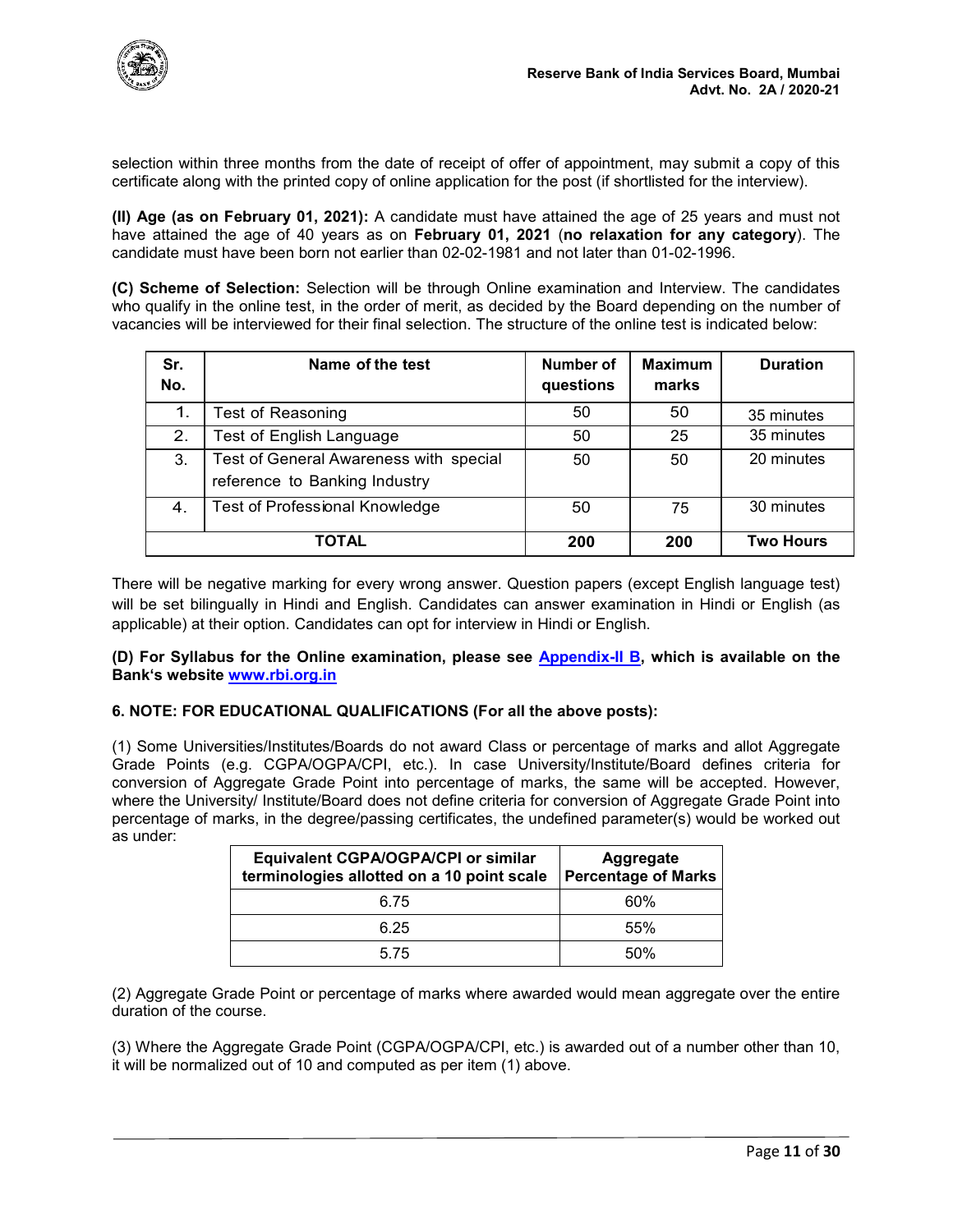

selection within three months from the date of receipt of offer of appointment, may submit a copy of this certificate along with the printed copy of online application for the post (if shortlisted for the interview).

**(II) Age (as on February 01, 2021):** A candidate must have attained the age of 25 years and must not have attained the age of 40 years as on **February 01, 2021** (**no relaxation for any category**). The candidate must have been born not earlier than 02-02-1981 and not later than 01-02-1996.

**(C) Scheme of Selection:** Selection will be through Online examination and Interview. The candidates who qualify in the online test, in the order of merit, as decided by the Board depending on the number of vacancies will be interviewed for their final selection. The structure of the online test is indicated below:

| Sr.<br>No. | Name of the test                                                        | Number of<br>questions | <b>Maximum</b><br>marks | <b>Duration</b>  |
|------------|-------------------------------------------------------------------------|------------------------|-------------------------|------------------|
| 1.         | <b>Test of Reasoning</b>                                                | 50                     | 50                      | 35 minutes       |
| 2.         | Test of English Language                                                | 50                     | 25                      | 35 minutes       |
| 3.         | Test of General Awareness with special<br>reference to Banking Industry | 50                     | 50                      | 20 minutes       |
| 4.         | Test of Professional Knowledge                                          | 50                     | 75                      | 30 minutes       |
|            | TOTAL                                                                   | 200                    | 200                     | <b>Two Hours</b> |

There will be negative marking for every wrong answer. Question papers (except English language test) will be set bilingually in Hindi and English. Candidates can answer examination in Hindi or English (as applicable) at their option. Candidates can opt for interview in Hindi or English.

**(D) For Syllabus for the Online examination, please see [Appendix-II](#page-24-1) B, which is available on the Bank's website [www.rbi.org.in](https://www.rbi.org.in/)**

# **6. NOTE: FOR EDUCATIONAL QUALIFICATIONS (For all the above posts):**

(1) Some Universities/Institutes/Boards do not award Class or percentage of marks and allot Aggregate Grade Points (e.g. CGPA/OGPA/CPI, etc.). In case University/Institute/Board defines criteria for conversion of Aggregate Grade Point into percentage of marks, the same will be accepted. However, where the University/ Institute/Board does not define criteria for conversion of Aggregate Grade Point into percentage of marks, in the degree/passing certificates, the undefined parameter(s) would be worked out as under:

| Equivalent CGPA/OGPA/CPI or similar<br>terminologies allotted on a 10 point scale | <b>Aggregate</b><br><b>Percentage of Marks</b> |
|-----------------------------------------------------------------------------------|------------------------------------------------|
| 6.75                                                                              | 60%                                            |
| 6.25                                                                              | 55%                                            |
| 5 75                                                                              | 50%                                            |

(2) Aggregate Grade Point or percentage of marks where awarded would mean aggregate over the entire duration of the course.

(3) Where the Aggregate Grade Point (CGPA/OGPA/CPI, etc.) is awarded out of a number other than 10, it will be normalized out of 10 and computed as per item (1) above.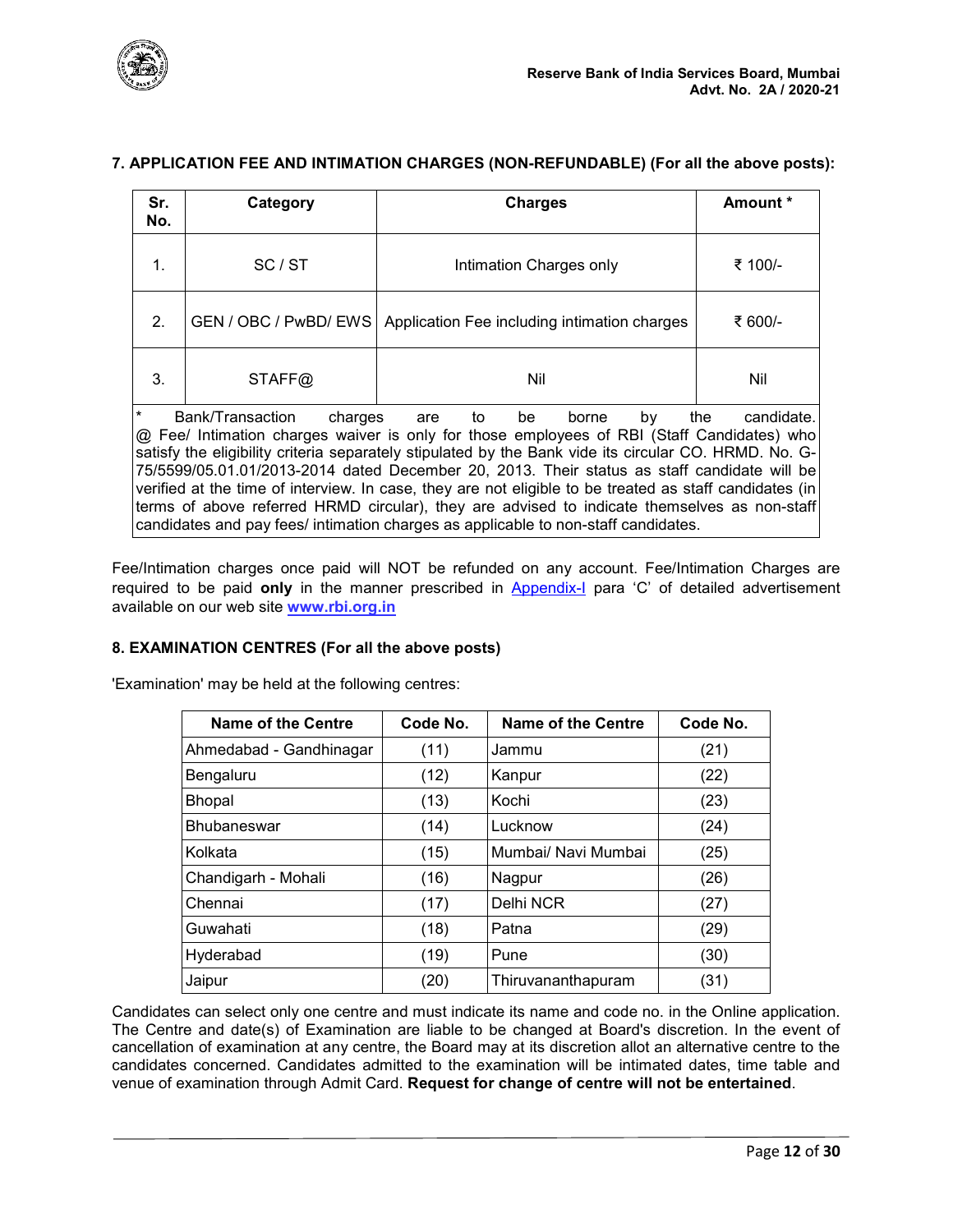

# **7. APPLICATION FEE AND INTIMATION CHARGES (NON-REFUNDABLE) (For all the above posts):**

| Sr.<br>No.     | Category                                                                                                                                                                                                                                                                                                                                                                                                                                                                                                                                                                                                                                                                      | <b>Charges</b>                               | Amount * |  |  |  |
|----------------|-------------------------------------------------------------------------------------------------------------------------------------------------------------------------------------------------------------------------------------------------------------------------------------------------------------------------------------------------------------------------------------------------------------------------------------------------------------------------------------------------------------------------------------------------------------------------------------------------------------------------------------------------------------------------------|----------------------------------------------|----------|--|--|--|
| 1 <sub>1</sub> | SC/ST                                                                                                                                                                                                                                                                                                                                                                                                                                                                                                                                                                                                                                                                         | Intimation Charges only                      | ₹ 100/-  |  |  |  |
| 2 <sub>1</sub> | GEN / OBC / PwBD/ EWS                                                                                                                                                                                                                                                                                                                                                                                                                                                                                                                                                                                                                                                         | Application Fee including intimation charges | ₹ 600/-  |  |  |  |
| 3.             | STAFF@                                                                                                                                                                                                                                                                                                                                                                                                                                                                                                                                                                                                                                                                        | Nil                                          | Nil      |  |  |  |
|                | Bank/Transaction charges are to be<br>the<br>candidate.<br>borne<br>by<br>@ Fee/ Intimation charges waiver is only for those employees of RBI (Staff Candidates) who<br>satisfy the eligibility criteria separately stipulated by the Bank vide its circular CO. HRMD. No. G-<br>75/5599/05.01.01/2013-2014 dated December 20, 2013. Their status as staff candidate will be<br>verified at the time of interview. In case, they are not eligible to be treated as staff candidates (in<br>terms of above referred HRMD circular), they are advised to indicate themselves as non-staff<br>candidates and pay fees/ intimation charges as applicable to non-staff candidates. |                                              |          |  |  |  |

Fee/Intimation charges once paid will NOT be refunded on any account. Fee/Intimation Charges are required to be paid **only** in the manner prescribed in [Appendix-I](#page-19-0) para 'C' of detailed advertisement available on our web site **[www.rbi.org.in](https://www.rbi.org.in/)**

#### **8. EXAMINATION CENTRES (For all the above posts)**

| Name of the Centre      | Code No. | <b>Name of the Centre</b> | Code No. |
|-------------------------|----------|---------------------------|----------|
| Ahmedabad - Gandhinagar | (11)     | Jammu                     | (21)     |
| Bengaluru               | (12)     | Kanpur                    | (22)     |
| <b>Bhopal</b>           | (13)     | Kochi                     | (23)     |
| l Bhubaneswar           | (14)     | Lucknow                   | (24)     |
| <u>Kolkata</u>          | (15)     | Mumbai/ Navi Mumbai       | (25)     |
| Chandigarh - Mohali     | (16)     | Nagpur                    | (26)     |
| l Chennai               | (17)     | Delhi NCR                 | (27)     |
| Guwahati                | (18)     | Patna                     | (29)     |
| Hyderabad               | (19)     | Pune                      | (30)     |
| Jaipur                  | (20)     | Thiruvananthapuram        | (31)     |

'Examination' may be held at the following centres:

Candidates can select only one centre and must indicate its name and code no. in the Online application. The Centre and date(s) of Examination are liable to be changed at Board's discretion. In the event of cancellation of examination at any centre, the Board may at its discretion allot an alternative centre to the candidates concerned. Candidates admitted to the examination will be intimated dates, time table and venue of examination through Admit Card. **Request for change of centre will not be entertained**.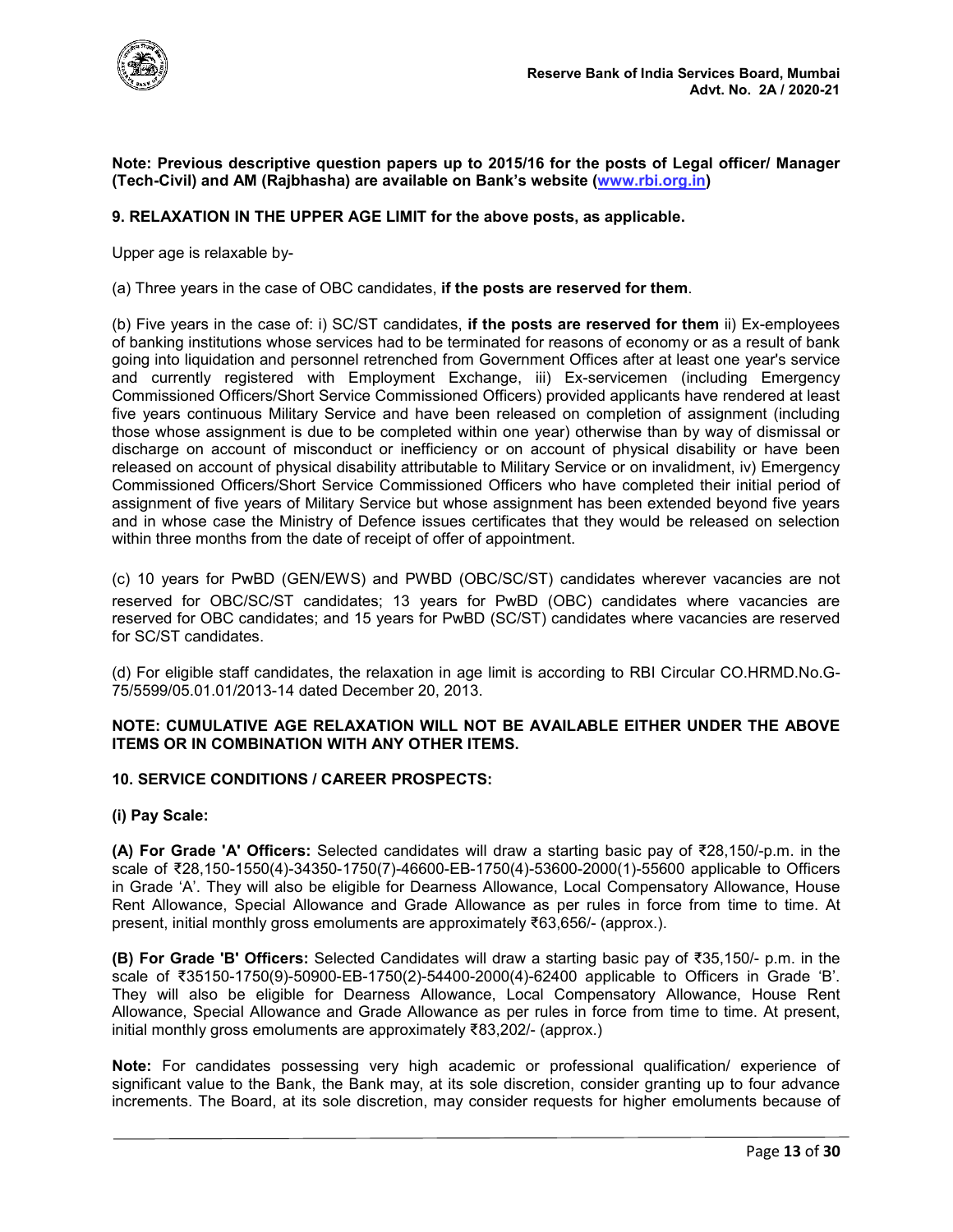

**Note: Previous descriptive question papers up to 2015/16 for the posts of Legal officer/ Manager (Tech-Civil) and AM (Rajbhasha) are available on Bank's website [\(www.rbi.org.in\)](https://www.rbi.org.in/)**

#### **9. RELAXATION IN THE UPPER AGE LIMIT for the above posts, as applicable.**

Upper age is relaxable by-

(a) Three years in the case of OBC candidates, **if the posts are reserved for them**.

(b) Five years in the case of: i) SC/ST candidates, **if the posts are reserved for them** ii) Ex-employees of banking institutions whose services had to be terminated for reasons of economy or as a result of bank going into liquidation and personnel retrenched from Government Offices after at least one year's service and currently registered with Employment Exchange, iii) Ex-servicemen (including Emergency Commissioned Officers/Short Service Commissioned Officers) provided applicants have rendered at least five years continuous Military Service and have been released on completion of assignment (including those whose assignment is due to be completed within one year) otherwise than by way of dismissal or discharge on account of misconduct or inefficiency or on account of physical disability or have been released on account of physical disability attributable to Military Service or on invalidment, iv) Emergency Commissioned Officers/Short Service Commissioned Officers who have completed their initial period of assignment of five years of Military Service but whose assignment has been extended beyond five years and in whose case the Ministry of Defence issues certificates that they would be released on selection within three months from the date of receipt of offer of appointment.

(c) 10 years for PwBD (GEN/EWS) and PWBD (OBC/SC/ST) candidates wherever vacancies are not reserved for OBC/SC/ST candidates; 13 years for PwBD (OBC) candidates where vacancies are reserved for OBC candidates; and 15 years for PwBD (SC/ST) candidates where vacancies are reserved for SC/ST candidates.

(d) For eligible staff candidates, the relaxation in age limit is according to RBI Circular CO.HRMD.No.G-75/5599/05.01.01/2013-14 dated December 20, 2013.

#### **NOTE: CUMULATIVE AGE RELAXATION WILL NOT BE AVAILABLE EITHER UNDER THE ABOVE ITEMS OR IN COMBINATION WITH ANY OTHER ITEMS.**

#### **10. SERVICE CONDITIONS / CAREER PROSPECTS:**

#### **(i) Pay Scale:**

**(A) For Grade 'A' Officers:** Selected candidates will draw a starting basic pay of ₹28,150/-p.m. in the scale of ₹28,150-1550(4)-34350-1750(7)-46600-EB-1750(4)-53600-2000(1)-55600 applicable to Officers in Grade 'A'. They will also be eligible for Dearness Allowance, Local Compensatory Allowance, House Rent Allowance, Special Allowance and Grade Allowance as per rules in force from time to time. At present, initial monthly gross emoluments are approximately ₹63,656/- (approx.).

**(B) For Grade 'B' Officers:** Selected Candidates will draw a starting basic pay of ₹35,150/- p.m. in the scale of ₹35150-1750(9)-50900-EB-1750(2)-54400-2000(4)-62400 applicable to Officers in Grade 'B'. They will also be eligible for Dearness Allowance, Local Compensatory Allowance, House Rent Allowance, Special Allowance and Grade Allowance as per rules in force from time to time. At present, initial monthly gross emoluments are approximately ₹83,202/- (approx.)

**Note:** For candidates possessing very high academic or professional qualification/ experience of significant value to the Bank, the Bank may, at its sole discretion, consider granting up to four advance increments. The Board, at its sole discretion, may consider requests for higher emoluments because of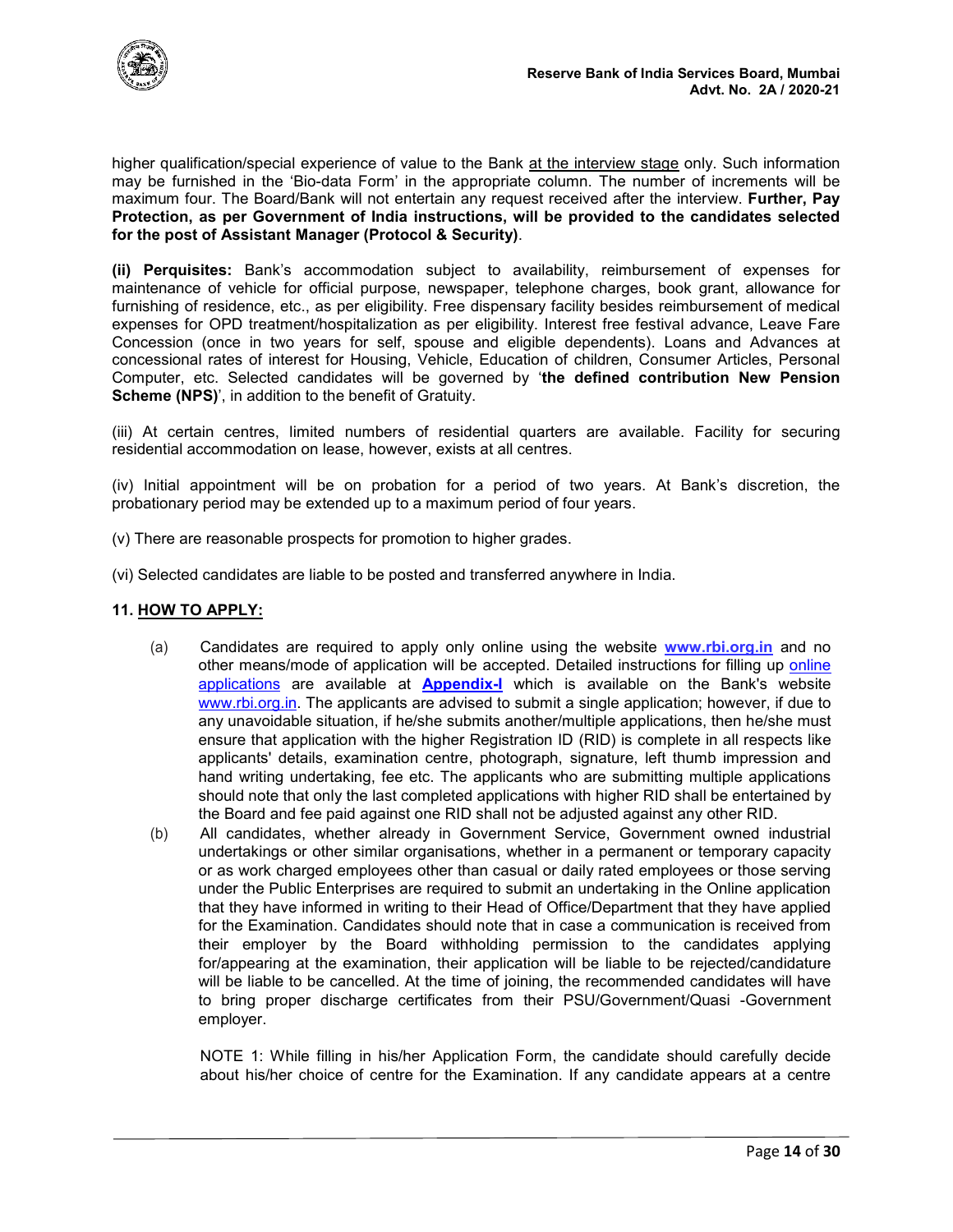

higher qualification/special experience of value to the Bank at the interview stage only. Such information may be furnished in the 'Bio-data Form' in the appropriate column. The number of increments will be maximum four. The Board/Bank will not entertain any request received after the interview. **Further, Pay Protection, as per Government of India instructions, will be provided to the candidates selected for the post of Assistant Manager (Protocol & Security)**.

**(ii) Perquisites:** Bank's accommodation subject to availability, reimbursement of expenses for maintenance of vehicle for official purpose, newspaper, telephone charges, book grant, allowance for furnishing of residence, etc., as per eligibility. Free dispensary facility besides reimbursement of medical expenses for OPD treatment/hospitalization as per eligibility. Interest free festival advance, Leave Fare Concession (once in two years for self, spouse and eligible dependents). Loans and Advances at concessional rates of interest for Housing, Vehicle, Education of children, Consumer Articles, Personal Computer, etc. Selected candidates will be governed by '**the defined contribution New Pension Scheme (NPS)**', in addition to the benefit of Gratuity.

(iii) At certain centres, limited numbers of residential quarters are available. Facility for securing residential accommodation on lease, however, exists at all centres.

(iv) Initial appointment will be on probation for a period of two years. At Bank's discretion, the probationary period may be extended up to a maximum period of four years.

- (v) There are reasonable prospects for promotion to higher grades.
- (vi) Selected candidates are liable to be posted and transferred anywhere in India.

## **11. HOW TO APPLY:**

- (a) Candidates are required to apply only online using the website **[www.rbi.org.in](https://www.rbi.org.in/)** and no other means/mode of application will be accepted. Detailed instructions for filling up [online](https://ibpsonline.ibps.in/rbisbvpfeb21/)  [applications](https://ibpsonline.ibps.in/rbisbvpfeb21/) are available at **[Appendix-I](#page-19-0)** which is available on the Bank's website [www.rbi.org.in.](https://www.rbi.org.in/) The applicants are advised to submit a single application; however, if due to any unavoidable situation, if he/she submits another/multiple applications, then he/she must ensure that application with the higher Registration ID (RID) is complete in all respects like applicants' details, examination centre, photograph, signature, left thumb impression and hand writing undertaking, fee etc. The applicants who are submitting multiple applications should note that only the last completed applications with higher RID shall be entertained by the Board and fee paid against one RID shall not be adjusted against any other RID.
- (b) All candidates, whether already in Government Service, Government owned industrial undertakings or other similar organisations, whether in a permanent or temporary capacity or as work charged employees other than casual or daily rated employees or those serving under the Public Enterprises are required to submit an undertaking in the Online application that they have informed in writing to their Head of Office/Department that they have applied for the Examination. Candidates should note that in case a communication is received from their employer by the Board withholding permission to the candidates applying for/appearing at the examination, their application will be liable to be rejected/candidature will be liable to be cancelled. At the time of joining, the recommended candidates will have to bring proper discharge certificates from their PSU/Government/Quasi -Government employer.

NOTE 1: While filling in his/her Application Form, the candidate should carefully decide about his/her choice of centre for the Examination. If any candidate appears at a centre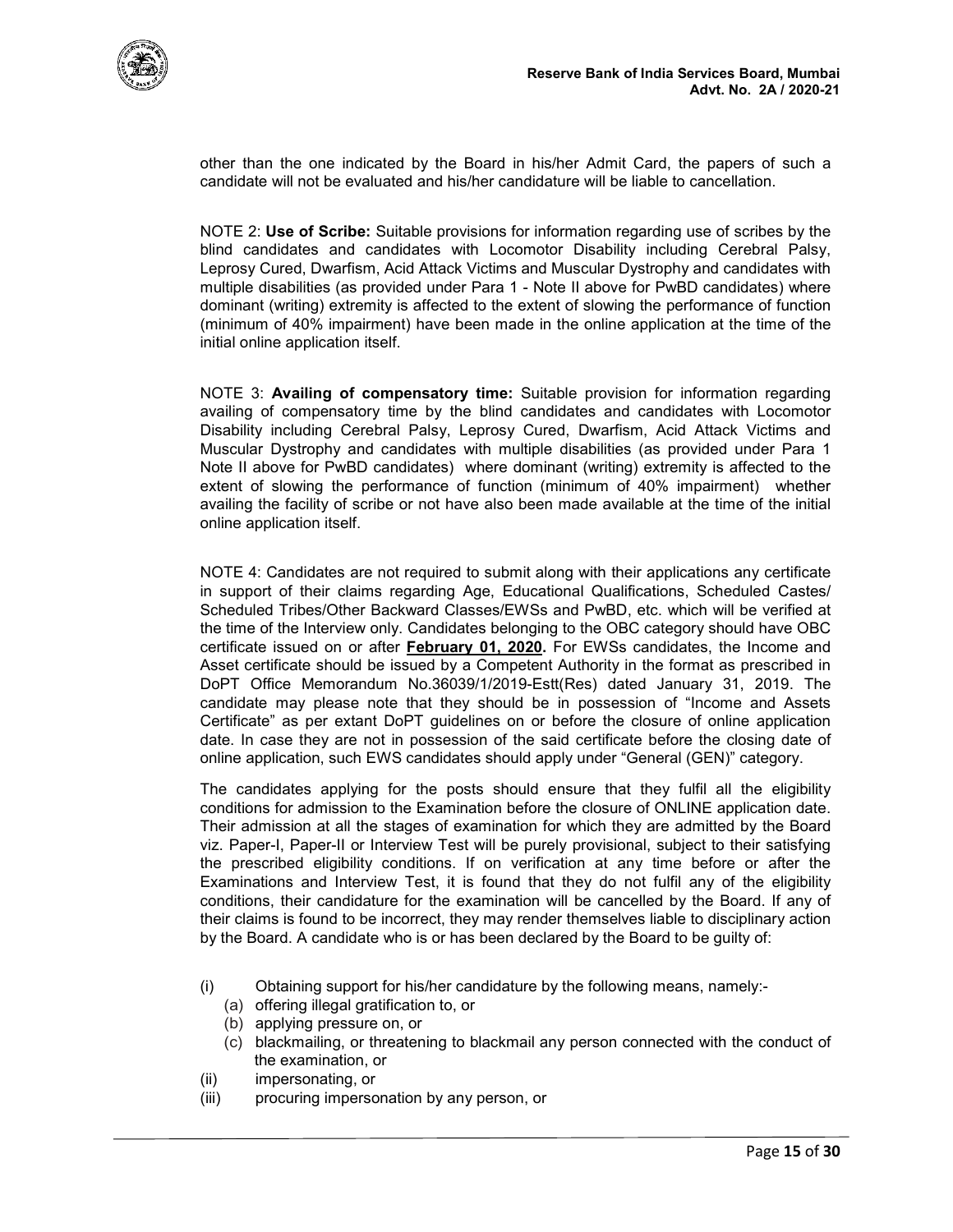

other than the one indicated by the Board in his/her Admit Card, the papers of such a candidate will not be evaluated and his/her candidature will be liable to cancellation.

NOTE 2: **Use of Scribe:** Suitable provisions for information regarding use of scribes by the blind candidates and candidates with Locomotor Disability including Cerebral Palsy, Leprosy Cured, Dwarfism, Acid Attack Victims and Muscular Dystrophy and candidates with multiple disabilities (as provided under Para 1 - Note II above for PwBD candidates) where dominant (writing) extremity is affected to the extent of slowing the performance of function (minimum of 40% impairment) have been made in the online application at the time of the initial online application itself.

NOTE 3: **Availing of compensatory time:** Suitable provision for information regarding availing of compensatory time by the blind candidates and candidates with Locomotor Disability including Cerebral Palsy, Leprosy Cured, Dwarfism, Acid Attack Victims and Muscular Dystrophy and candidates with multiple disabilities (as provided under Para 1 Note II above for PwBD candidates) where dominant (writing) extremity is affected to the extent of slowing the performance of function (minimum of 40% impairment) whether availing the facility of scribe or not have also been made available at the time of the initial online application itself.

NOTE 4: Candidates are not required to submit along with their applications any certificate in support of their claims regarding Age, Educational Qualifications, Scheduled Castes/ Scheduled Tribes/Other Backward Classes/EWSs and PwBD, etc. which will be verified at the time of the Interview only. Candidates belonging to the OBC category should have OBC certificate issued on or after **February 01, 2020.** For EWSs candidates, the Income and Asset certificate should be issued by a Competent Authority in the format as prescribed in DoPT Office Memorandum No.36039/1/2019-Estt(Res) dated January 31, 2019. The candidate may please note that they should be in possession of "Income and Assets Certificate" as per extant DoPT guidelines on or before the closure of online application date. In case they are not in possession of the said certificate before the closing date of online application, such EWS candidates should apply under "General (GEN)" category.

The candidates applying for the posts should ensure that they fulfil all the eligibility conditions for admission to the Examination before the closure of ONLINE application date. Their admission at all the stages of examination for which they are admitted by the Board viz. Paper-I, Paper-II or Interview Test will be purely provisional, subject to their satisfying the prescribed eligibility conditions. If on verification at any time before or after the Examinations and Interview Test, it is found that they do not fulfil any of the eligibility conditions, their candidature for the examination will be cancelled by the Board. If any of their claims is found to be incorrect, they may render themselves liable to disciplinary action by the Board. A candidate who is or has been declared by the Board to be guilty of:

- (i) Obtaining support for his/her candidature by the following means, namely:-
	- (a) offering illegal gratification to, or
	- (b) applying pressure on, or
	- (c) blackmailing, or threatening to blackmail any person connected with the conduct of the examination, or
- (ii) impersonating, or
- (iii) procuring impersonation by any person, or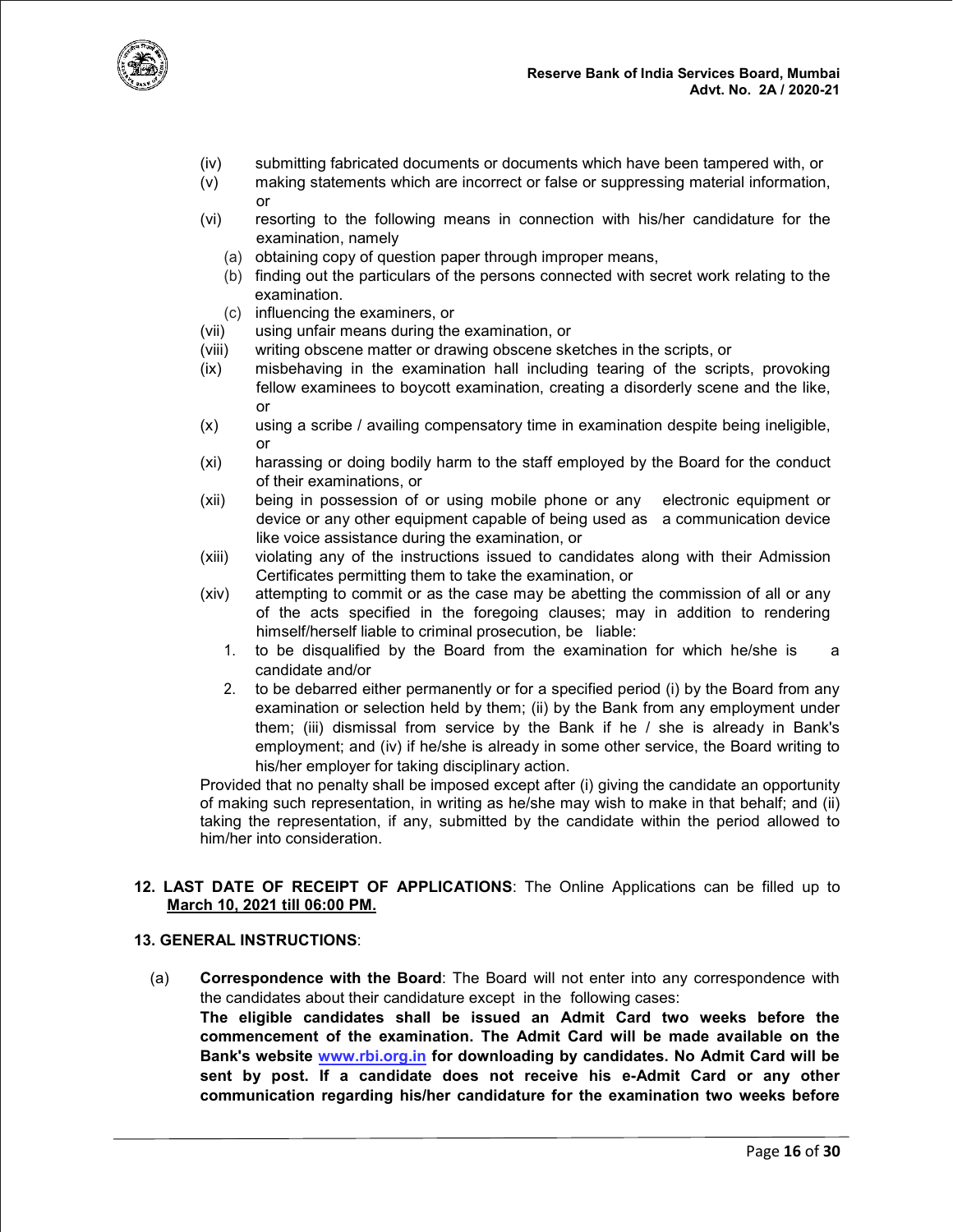

- (iv) submitting fabricated documents or documents which have been tampered with, or
- (v) making statements which are incorrect or false or suppressing material information, or
- (vi) resorting to the following means in connection with his/her candidature for the examination, namely
	- (a) obtaining copy of question paper through improper means,
	- (b) finding out the particulars of the persons connected with secret work relating to the examination.
	- (c) influencing the examiners, or
- (vii) using unfair means during the examination, or
- (viii) writing obscene matter or drawing obscene sketches in the scripts, or
- (ix) misbehaving in the examination hall including tearing of the scripts, provoking fellow examinees to boycott examination, creating a disorderly scene and the like, or
- (x) using a scribe / availing compensatory time in examination despite being ineligible, or
- (xi) harassing or doing bodily harm to the staff employed by the Board for the conduct of their examinations, or
- (xii) being in possession of or using mobile phone or any electronic equipment or device or any other equipment capable of being used as a communication device like voice assistance during the examination, or
- (xiii) violating any of the instructions issued to candidates along with their Admission Certificates permitting them to take the examination, or
- (xiv) attempting to commit or as the case may be abetting the commission of all or any of the acts specified in the foregoing clauses; may in addition to rendering himself/herself liable to criminal prosecution, be liable:
	- 1. to be disqualified by the Board from the examination for which he/she is a candidate and/or
	- 2. to be debarred either permanently or for a specified period (i) by the Board from any examination or selection held by them; (ii) by the Bank from any employment under them; (iii) dismissal from service by the Bank if he / she is already in Bank's employment; and (iv) if he/she is already in some other service, the Board writing to his/her employer for taking disciplinary action.

Provided that no penalty shall be imposed except after (i) giving the candidate an opportunity of making such representation, in writing as he/she may wish to make in that behalf; and (ii) taking the representation, if any, submitted by the candidate within the period allowed to him/her into consideration.

## **12. LAST DATE OF RECEIPT OF APPLICATIONS**: The Online Applications can be filled up to **March 10, 2021 till 06:00 PM.**

#### **13. GENERAL INSTRUCTIONS**:

(a) **Correspondence with the Board**: The Board will not enter into any correspondence with the candidates about their candidature except in the following cases: **The eligible candidates shall be issued an Admit Card two weeks before the commencement of the examination. The Admit Card will be made available on the Bank's website [www.rbi.org.in](https://www.rbi.org.in/) for downloading by candidates. No Admit Card will be sent by post. If a candidate does not receive his e-Admit Card or any other communication regarding his/her candidature for the examination two weeks before**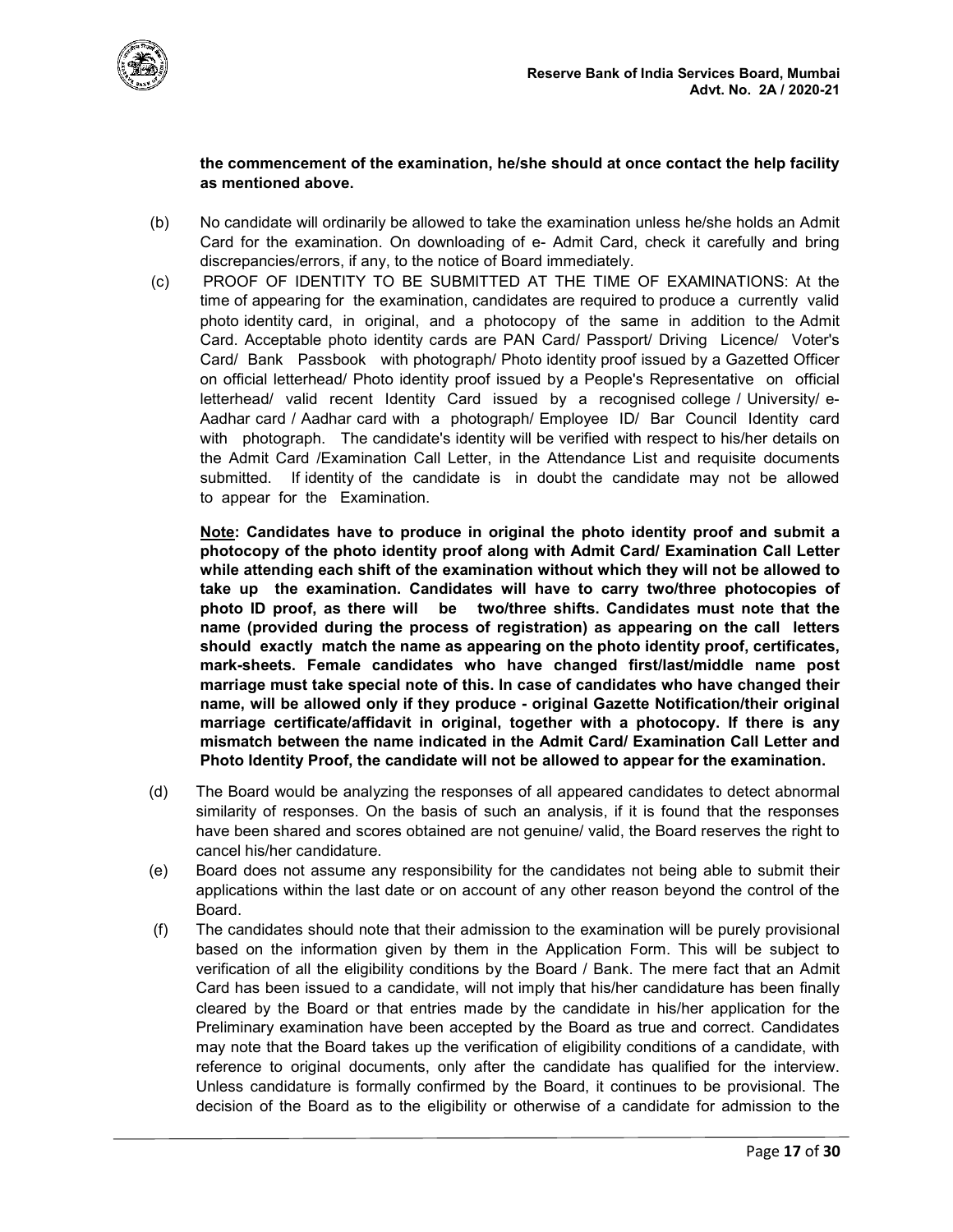

# **the commencement of the examination, he/she should at once contact the help facility as mentioned above.**

- (b) No candidate will ordinarily be allowed to take the examination unless he/she holds an Admit Card for the examination. On downloading of e- Admit Card, check it carefully and bring discrepancies/errors, if any, to the notice of Board immediately.
- (c) PROOF OF IDENTITY TO BE SUBMITTED AT THE TIME OF EXAMINATIONS: At the time of appearing for the examination, candidates are required to produce a currently valid photo identity card, in original, and a photocopy of the same in addition to the Admit Card. Acceptable photo identity cards are PAN Card/ Passport/ Driving Licence/ Voter's Card/ Bank Passbook with photograph/ Photo identity proof issued by a Gazetted Officer on official letterhead/ Photo identity proof issued by a People's Representative on official letterhead/ valid recent Identity Card issued by a recognised college / University/ e-Aadhar card / Aadhar card with a photograph/ Employee ID/ Bar Council Identity card with photograph. The candidate's identity will be verified with respect to his/her details on the Admit Card /Examination Call Letter, in the Attendance List and requisite documents submitted. If identity of the candidate is in doubt the candidate may not be allowed to appear for the Examination.

**Note: Candidates have to produce in original the photo identity proof and submit a photocopy of the photo identity proof along with Admit Card/ Examination Call Letter while attending each shift of the examination without which they will not be allowed to take up the examination. Candidates will have to carry two/three photocopies of photo ID proof, as there will be two/three shifts. Candidates must note that the name (provided during the process of registration) as appearing on the call letters should exactly match the name as appearing on the photo identity proof, certificates, mark-sheets. Female candidates who have changed first/last/middle name post marriage must take special note of this. In case of candidates who have changed their name, will be allowed only if they produce - original Gazette Notification/their original marriage certificate/affidavit in original, together with a photocopy. If there is any mismatch between the name indicated in the Admit Card/ Examination Call Letter and Photo Identity Proof, the candidate will not be allowed to appear for the examination.**

- (d) The Board would be analyzing the responses of all appeared candidates to detect abnormal similarity of responses. On the basis of such an analysis, if it is found that the responses have been shared and scores obtained are not genuine/ valid, the Board reserves the right to cancel his/her candidature.
- (e) Board does not assume any responsibility for the candidates not being able to submit their applications within the last date or on account of any other reason beyond the control of the Board.
- (f) The candidates should note that their admission to the examination will be purely provisional based on the information given by them in the Application Form. This will be subject to verification of all the eligibility conditions by the Board / Bank. The mere fact that an Admit Card has been issued to a candidate, will not imply that his/her candidature has been finally cleared by the Board or that entries made by the candidate in his/her application for the Preliminary examination have been accepted by the Board as true and correct. Candidates may note that the Board takes up the verification of eligibility conditions of a candidate, with reference to original documents, only after the candidate has qualified for the interview. Unless candidature is formally confirmed by the Board, it continues to be provisional. The decision of the Board as to the eligibility or otherwise of a candidate for admission to the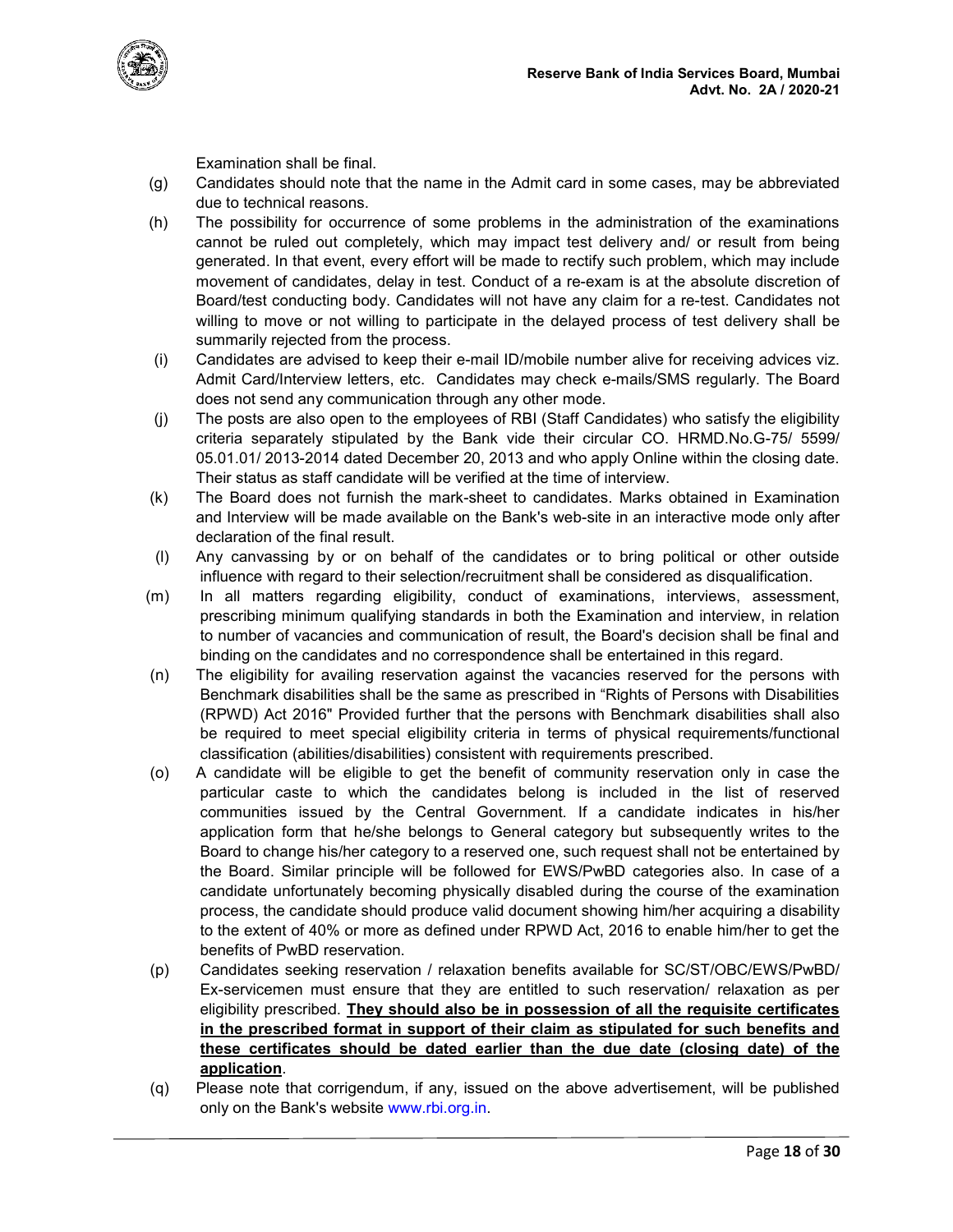

Examination shall be final.

- (g) Candidates should note that the name in the Admit card in some cases, may be abbreviated due to technical reasons.
- (h) The possibility for occurrence of some problems in the administration of the examinations cannot be ruled out completely, which may impact test delivery and/ or result from being generated. In that event, every effort will be made to rectify such problem, which may include movement of candidates, delay in test. Conduct of a re-exam is at the absolute discretion of Board/test conducting body. Candidates will not have any claim for a re-test. Candidates not willing to move or not willing to participate in the delayed process of test delivery shall be summarily rejected from the process.
- (i) Candidates are advised to keep their e-mail ID/mobile number alive for receiving advices viz. Admit Card/Interview letters, etc. Candidates may check e-mails/SMS regularly. The Board does not send any communication through any other mode.
- (j) The posts are also open to the employees of RBI (Staff Candidates) who satisfy the eligibility criteria separately stipulated by the Bank vide their circular CO. HRMD.No.G-75/ 5599/ 05.01.01/ 2013-2014 dated December 20, 2013 and who apply Online within the closing date. Their status as staff candidate will be verified at the time of interview.
- (k) The Board does not furnish the mark-sheet to candidates. Marks obtained in Examination and Interview will be made available on the Bank's web-site in an interactive mode only after declaration of the final result.
- (l) Any canvassing by or on behalf of the candidates or to bring political or other outside influence with regard to their selection/recruitment shall be considered as disqualification.
- (m) In all matters regarding eligibility, conduct of examinations, interviews, assessment, prescribing minimum qualifying standards in both the Examination and interview, in relation to number of vacancies and communication of result, the Board's decision shall be final and binding on the candidates and no correspondence shall be entertained in this regard.
- (n) The eligibility for availing reservation against the vacancies reserved for the persons with Benchmark disabilities shall be the same as prescribed in "Rights of Persons with Disabilities (RPWD) Act 2016" Provided further that the persons with Benchmark disabilities shall also be required to meet special eligibility criteria in terms of physical requirements/functional classification (abilities/disabilities) consistent with requirements prescribed.
- (o) A candidate will be eligible to get the benefit of community reservation only in case the particular caste to which the candidates belong is included in the list of reserved communities issued by the Central Government. If a candidate indicates in his/her application form that he/she belongs to General category but subsequently writes to the Board to change his/her category to a reserved one, such request shall not be entertained by the Board. Similar principle will be followed for EWS/PwBD categories also. In case of a candidate unfortunately becoming physically disabled during the course of the examination process, the candidate should produce valid document showing him/her acquiring a disability to the extent of 40% or more as defined under RPWD Act, 2016 to enable him/her to get the benefits of PwBD reservation.
- (p) Candidates seeking reservation / relaxation benefits available for SC/ST/OBC/EWS/PwBD/ Ex-servicemen must ensure that they are entitled to such reservation/ relaxation as per eligibility prescribed. **They should also be in possession of all the requisite certificates in the prescribed format in support of their claim as stipulated for such benefits and these certificates should be dated earlier than the due date (closing date) of the application**.
- (q) Please note that corrigendum, if any, issued on the above advertisement, will be published only on the Bank's website [www.rbi.org.in.](https://www.rbi.org.in/)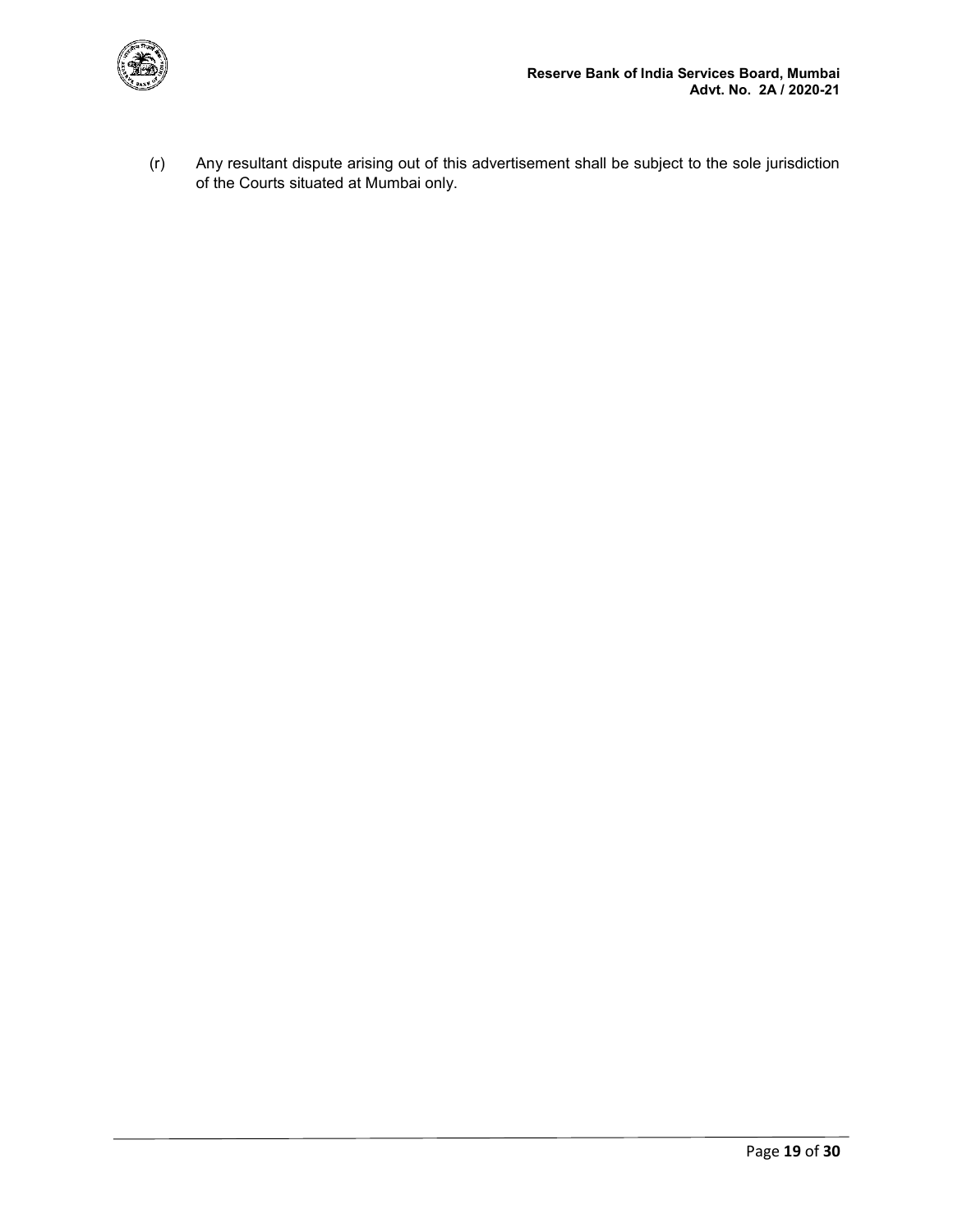

(r) Any resultant dispute arising out of this advertisement shall be subject to the sole jurisdiction of the Courts situated at Mumbai only.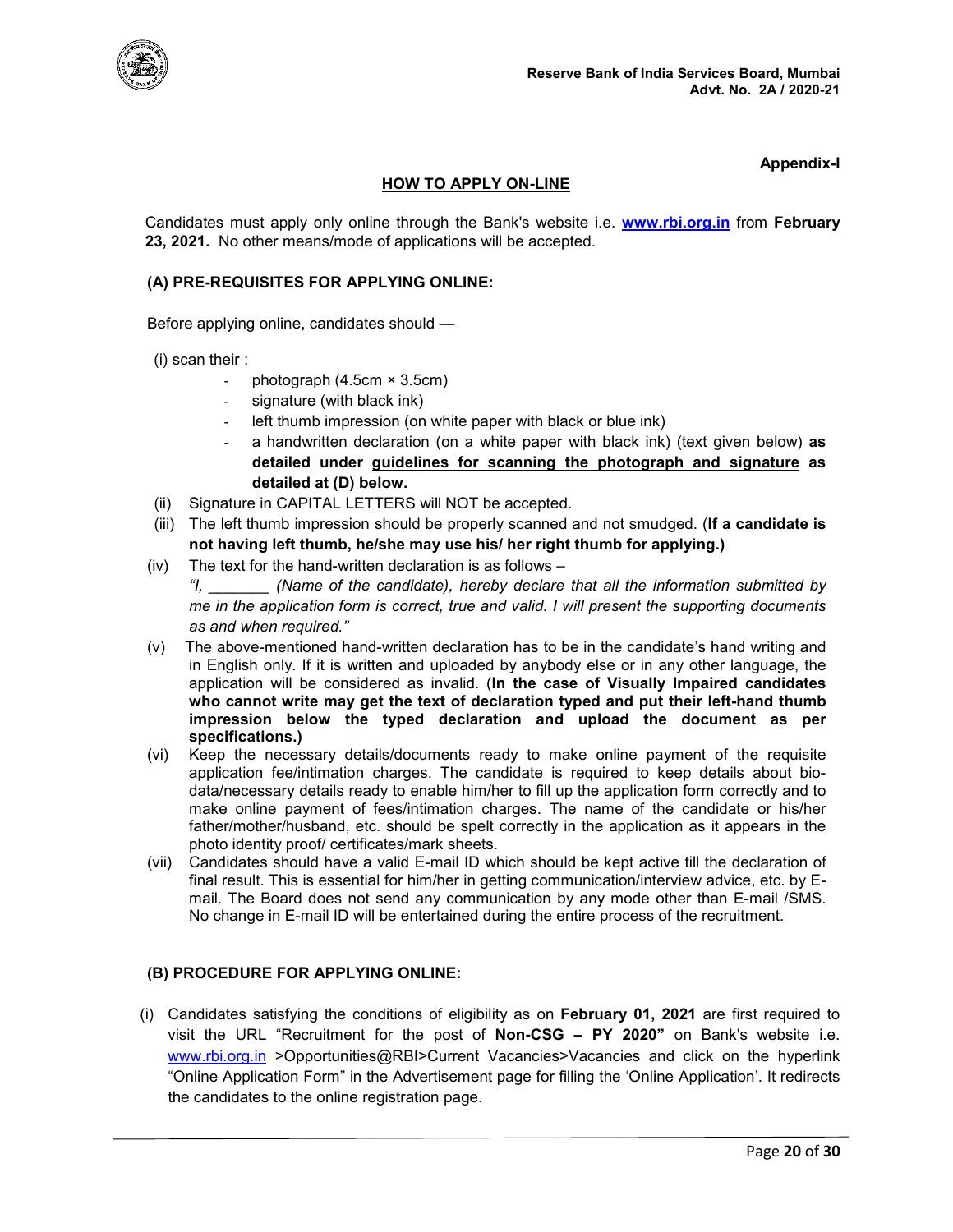

**Appendix-I** 

# **HOW TO APPLY ON-LINE**

<span id="page-19-0"></span>Candidates must apply only online through the Bank's website i.e. **[www.rbi.org.in](https://www.rbi.org.in/)** from **February 23, 2021.** No other means/mode of applications will be accepted.

# **(A) PRE-REQUISITES FOR APPLYING ONLINE:**

Before applying online, candidates should —

(i) scan their :

- photograph (4.5cm × 3.5cm)
- signature (with black ink)
- left thumb impression (on white paper with black or blue ink)
- a handwritten declaration (on a white paper with black ink) (text given below) **as detailed under guidelines for scanning the photograph and signature as detailed at (D) below.**
- (ii) Signature in CAPITAL LETTERS will NOT be accepted.
- (iii) The left thumb impression should be properly scanned and not smudged. (**If a candidate is not having left thumb, he/she may use his/ her right thumb for applying.)**
- (iv) The text for the hand-written declaration is as follows *"I, \_\_\_\_\_\_\_ (Name of the candidate), hereby declare that all the information submitted by me in the application form is correct, true and valid. I will present the supporting documents as and when required."*
- (v) The above-mentioned hand-written declaration has to be in the candidate's hand writing and in English only. If it is written and uploaded by anybody else or in any other language, the application will be considered as invalid. (**In the case of Visually Impaired candidates who cannot write may get the text of declaration typed and put their left-hand thumb impression below the typed declaration and upload the document as per specifications.)**
- (vi) Keep the necessary details/documents ready to make online payment of the requisite application fee/intimation charges. The candidate is required to keep details about biodata/necessary details ready to enable him/her to fill up the application form correctly and to make online payment of fees/intimation charges. The name of the candidate or his/her father/mother/husband, etc. should be spelt correctly in the application as it appears in the photo identity proof/ certificates/mark sheets.
- (vii) Candidates should have a valid E-mail ID which should be kept active till the declaration of final result. This is essential for him/her in getting communication/interview advice, etc. by Email. The Board does not send any communication by any mode other than E-mail /SMS. No change in E-mail ID will be entertained during the entire process of the recruitment.

# **(B) PROCEDURE FOR APPLYING ONLINE:**

(i) Candidates satisfying the conditions of eligibility as on **February 01, 2021** are first required to visit the URL "Recruitment for the post of **Non-CSG – PY 2020"** on Bank's website i.e. [www.rbi.org.in](https://www.rbi.org.in/) >Opportunities@RBI>Current Vacancies>Vacancies and click on the hyperlink "Online Application Form" in the Advertisement page for filling the 'Online Application'. It redirects the candidates to the online registration page.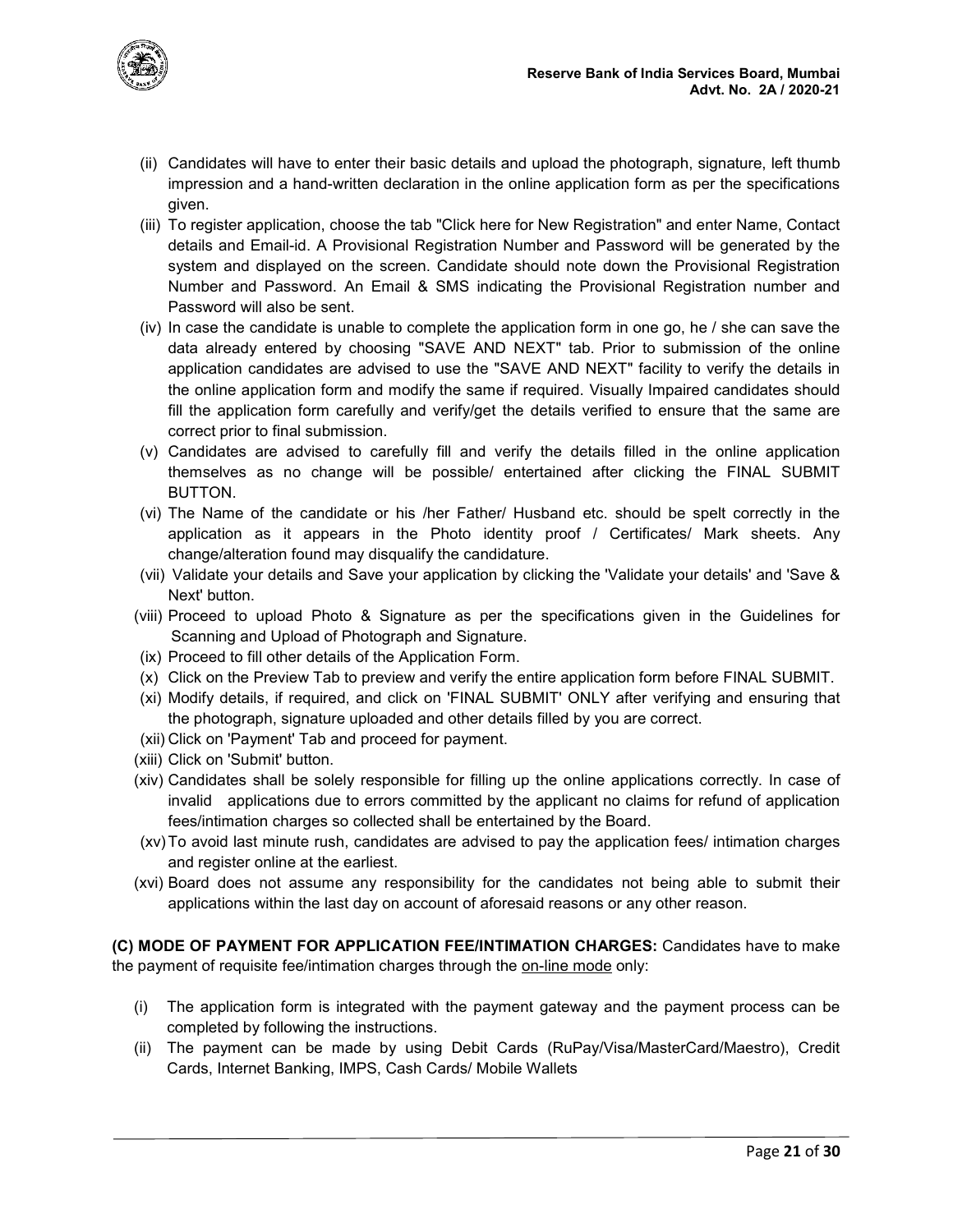

- (ii) Candidates will have to enter their basic details and upload the photograph, signature, left thumb impression and a hand-written declaration in the online application form as per the specifications given.
- (iii) To register application, choose the tab "Click here for New Registration" and enter Name, Contact details and Email-id. A Provisional Registration Number and Password will be generated by the system and displayed on the screen. Candidate should note down the Provisional Registration Number and Password. An Email & SMS indicating the Provisional Registration number and Password will also be sent.
- (iv) In case the candidate is unable to complete the application form in one go, he / she can save the data already entered by choosing "SAVE AND NEXT" tab. Prior to submission of the online application candidates are advised to use the "SAVE AND NEXT" facility to verify the details in the online application form and modify the same if required. Visually Impaired candidates should fill the application form carefully and verify/get the details verified to ensure that the same are correct prior to final submission.
- (v) Candidates are advised to carefully fill and verify the details filled in the online application themselves as no change will be possible/ entertained after clicking the FINAL SUBMIT BUTTON.
- (vi) The Name of the candidate or his /her Father/ Husband etc. should be spelt correctly in the application as it appears in the Photo identity proof / Certificates/ Mark sheets. Any change/alteration found may disqualify the candidature.
- (vii) Validate your details and Save your application by clicking the 'Validate your details' and 'Save & Next' button.
- (viii) Proceed to upload Photo & Signature as per the specifications given in the Guidelines for Scanning and Upload of Photograph and Signature.
- (ix) Proceed to fill other details of the Application Form.
- (x) Click on the Preview Tab to preview and verify the entire application form before FINAL SUBMIT.
- (xi) Modify details, if required, and click on 'FINAL SUBMIT' ONLY after verifying and ensuring that the photograph, signature uploaded and other details filled by you are correct.
- (xii) Click on 'Payment' Tab and proceed for payment.
- (xiii) Click on 'Submit' button.
- (xiv) Candidates shall be solely responsible for filling up the online applications correctly. In case of invalid applications due to errors committed by the applicant no claims for refund of application fees/intimation charges so collected shall be entertained by the Board.
- (xv)To avoid last minute rush, candidates are advised to pay the application fees/ intimation charges and register online at the earliest.
- (xvi) Board does not assume any responsibility for the candidates not being able to submit their applications within the last day on account of aforesaid reasons or any other reason.

**(C) MODE OF PAYMENT FOR APPLICATION FEE/INTIMATION CHARGES:** Candidates have to make the payment of requisite fee/intimation charges through the on-line mode only:

- (i) The application form is integrated with the payment gateway and the payment process can be completed by following the instructions.
- (ii) The payment can be made by using Debit Cards (RuPay/Visa/MasterCard/Maestro), Credit Cards, Internet Banking, IMPS, Cash Cards/ Mobile Wallets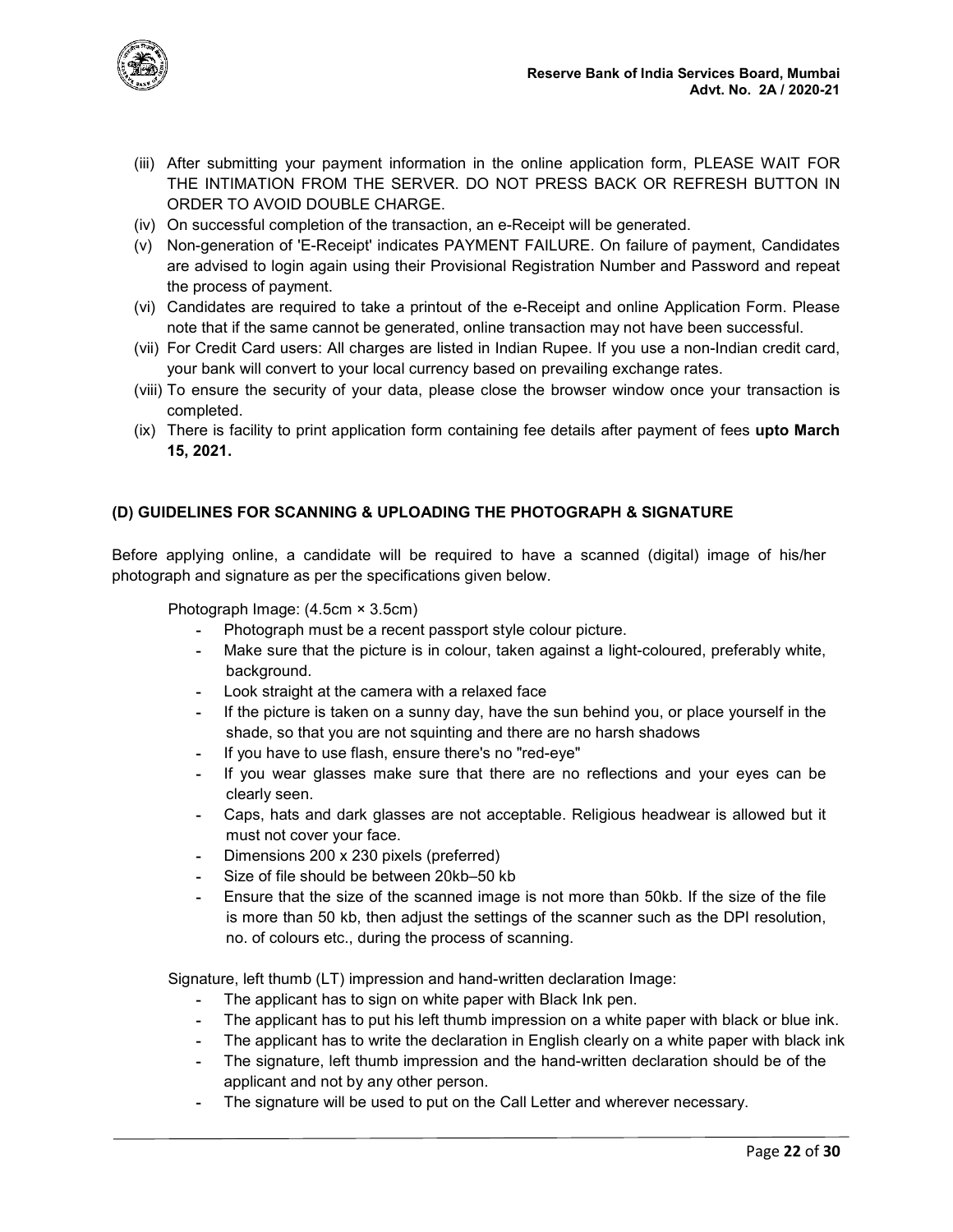

- (iii) After submitting your payment information in the online application form, PLEASE WAIT FOR THE INTIMATION FROM THE SERVER. DO NOT PRESS BACK OR REFRESH BUTTON IN ORDER TO AVOID DOUBLE CHARGE.
- (iv) On successful completion of the transaction, an e-Receipt will be generated.
- (v) Non-generation of 'E-Receipt' indicates PAYMENT FAILURE. On failure of payment, Candidates are advised to login again using their Provisional Registration Number and Password and repeat the process of payment.
- (vi) Candidates are required to take a printout of the e-Receipt and online Application Form. Please note that if the same cannot be generated, online transaction may not have been successful.
- (vii) For Credit Card users: All charges are listed in Indian Rupee. If you use a non-Indian credit card, your bank will convert to your local currency based on prevailing exchange rates.
- (viii) To ensure the security of your data, please close the browser window once your transaction is completed.
- (ix) There is facility to print application form containing fee details after payment of fees **upto March 15, 2021.**

# **(D) GUIDELINES FOR SCANNING & UPLOADING THE PHOTOGRAPH & SIGNATURE**

Before applying online, a candidate will be required to have a scanned (digital) image of his/her photograph and signature as per the specifications given below.

Photograph Image: (4.5cm × 3.5cm)

- **-** Photograph must be a recent passport style colour picture.
- **-** Make sure that the picture is in colour, taken against a light-coloured, preferably white, background.
- **-** Look straight at the camera with a relaxed face
- **-** If the picture is taken on a sunny day, have the sun behind you, or place yourself in the shade, so that you are not squinting and there are no harsh shadows
- **-** If you have to use flash, ensure there's no "red-eye"
- **-** If you wear glasses make sure that there are no reflections and your eyes can be clearly seen.
- **-** Caps, hats and dark glasses are not acceptable. Religious headwear is allowed but it must not cover your face.
- **-** Dimensions 200 x 230 pixels (preferred)
- **-** Size of file should be between 20kb–50 kb
- **-** Ensure that the size of the scanned image is not more than 50kb. If the size of the file is more than 50 kb, then adjust the settings of the scanner such as the DPI resolution, no. of colours etc., during the process of scanning.

Signature, left thumb (LT) impression and hand-written declaration Image:

- **-** The applicant has to sign on white paper with Black Ink pen.
- **-** The applicant has to put his left thumb impression on a white paper with black or blue ink.
- **-** The applicant has to write the declaration in English clearly on a white paper with black ink
- **-** The signature, left thumb impression and the hand-written declaration should be of the applicant and not by any other person.
- **-** The signature will be used to put on the Call Letter and wherever necessary.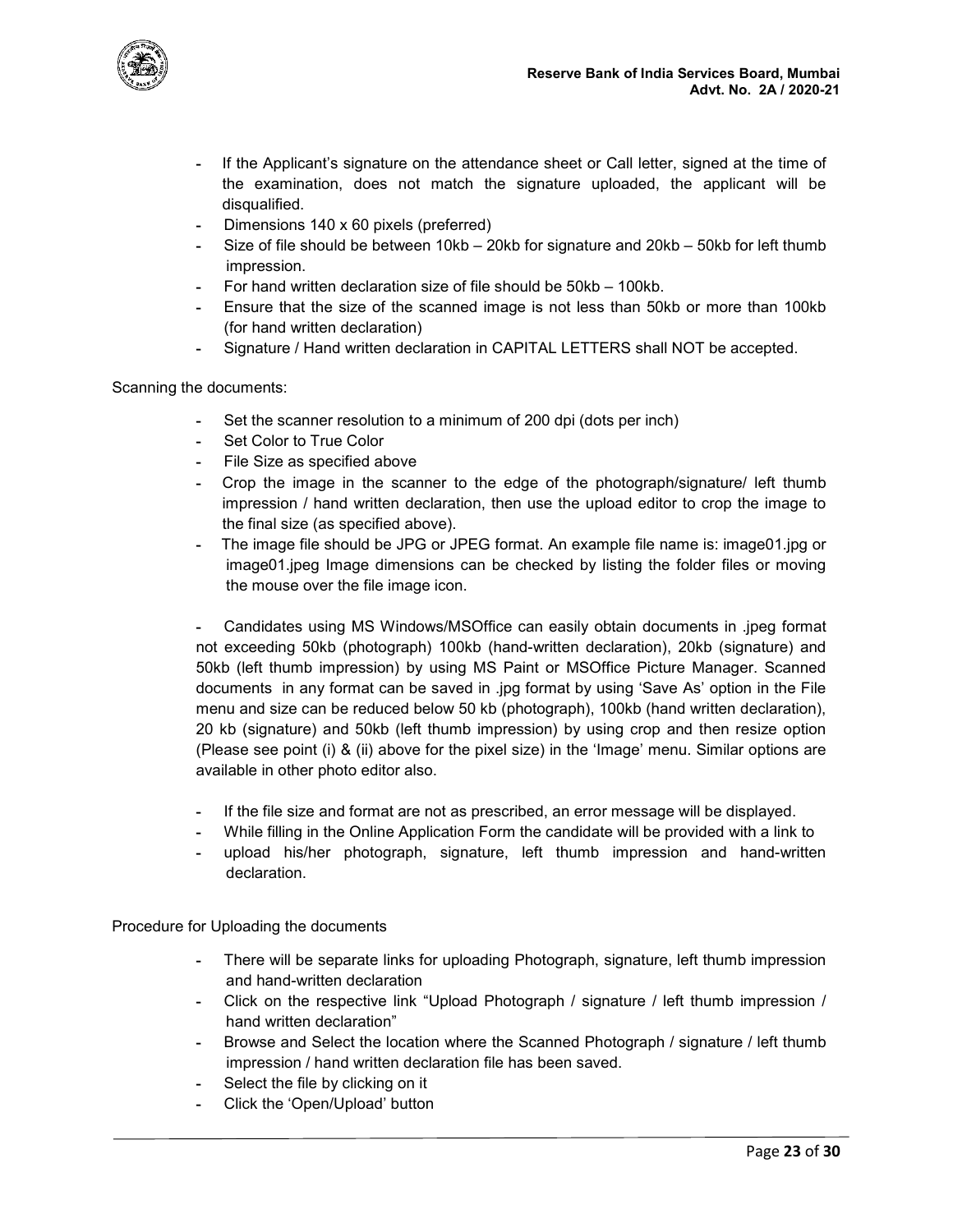

- **-** If the Applicant's signature on the attendance sheet or Call letter, signed at the time of the examination, does not match the signature uploaded, the applicant will be disqualified.
- **-** Dimensions 140 x 60 pixels (preferred)
- **-** Size of file should be between 10kb 20kb for signature and 20kb 50kb for left thumb impression.
- **-** For hand written declaration size of file should be 50kb 100kb.
- **-** Ensure that the size of the scanned image is not less than 50kb or more than 100kb (for hand written declaration)
- **-** Signature / Hand written declaration in CAPITAL LETTERS shall NOT be accepted.

Scanning the documents:

- **-** Set the scanner resolution to a minimum of 200 dpi (dots per inch)
- **-** Set Color to True Color
- **-** File Size as specified above
- **-** Crop the image in the scanner to the edge of the photograph/signature/ left thumb impression / hand written declaration, then use the upload editor to crop the image to the final size (as specified above).
- **-** The image file should be JPG or JPEG format. An example file name is: image01.jpg or image01.jpeg Image dimensions can be checked by listing the folder files or moving the mouse over the file image icon.

**-** Candidates using MS Windows/MSOffice can easily obtain documents in .jpeg format not exceeding 50kb (photograph) 100kb (hand-written declaration), 20kb (signature) and 50kb (left thumb impression) by using MS Paint or MSOffice Picture Manager. Scanned documents in any format can be saved in .jpg format by using 'Save As' option in the File menu and size can be reduced below 50 kb (photograph), 100kb (hand written declaration), 20 kb (signature) and 50kb (left thumb impression) by using crop and then resize option (Please see point (i) & (ii) above for the pixel size) in the 'Image' menu. Similar options are available in other photo editor also.

- **-** If the file size and format are not as prescribed, an error message will be displayed.
- **-** While filling in the Online Application Form the candidate will be provided with a link to
- **-** upload his/her photograph, signature, left thumb impression and hand-written declaration.

Procedure for Uploading the documents

- **-** There will be separate links for uploading Photograph, signature, left thumb impression and hand-written declaration
- **-** Click on the respective link "Upload Photograph / signature / left thumb impression / hand written declaration"
- **-** Browse and Select the location where the Scanned Photograph / signature / left thumb impression / hand written declaration file has been saved.
- **-** Select the file by clicking on it
- **-** Click the 'Open/Upload' button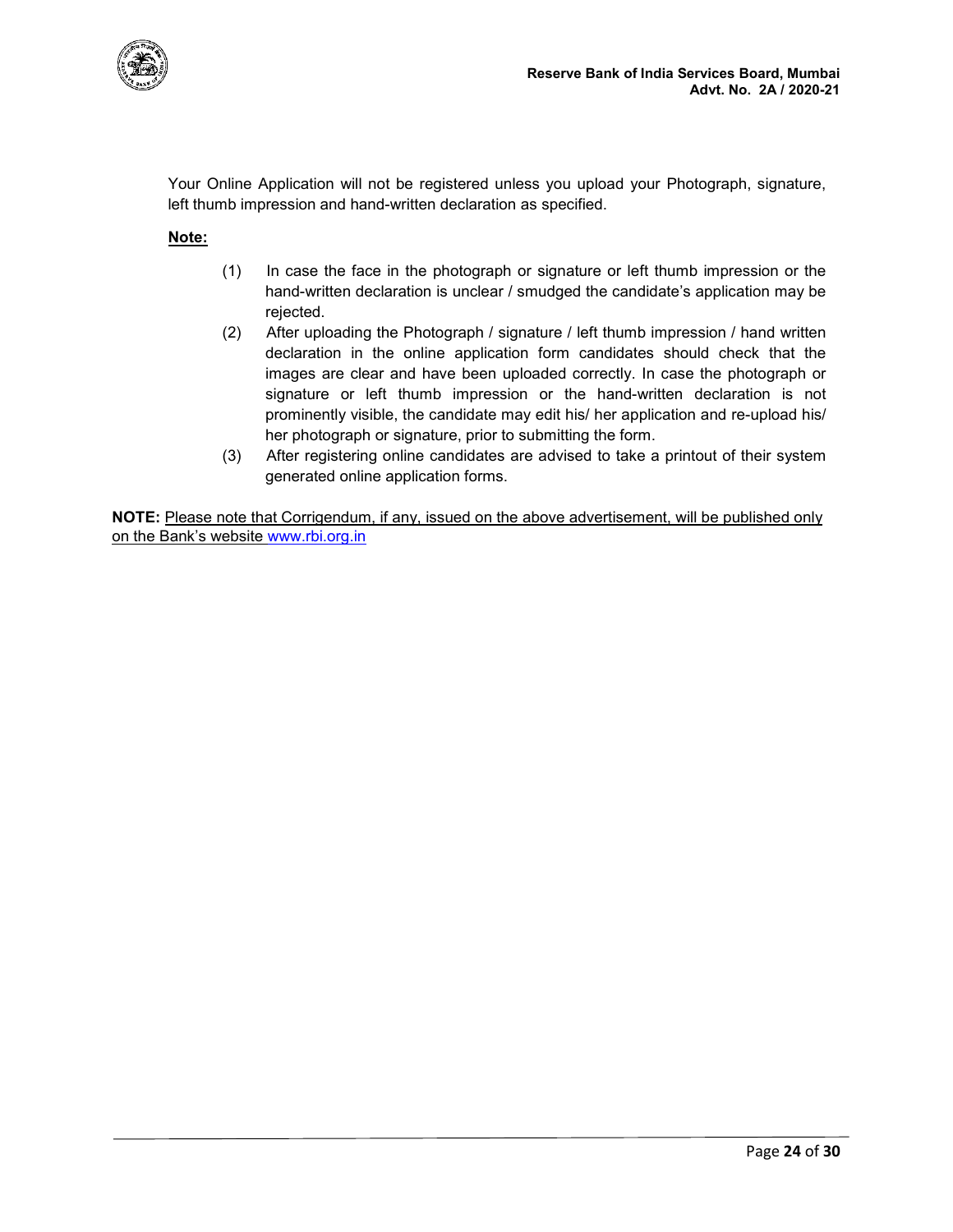

Your Online Application will not be registered unless you upload your Photograph, signature, left thumb impression and hand-written declaration as specified.

**Note:**

- (1) In case the face in the photograph or signature or left thumb impression or the hand-written declaration is unclear / smudged the candidate's application may be rejected.
- (2) After uploading the Photograph / signature / left thumb impression / hand written declaration in the online application form candidates should check that the images are clear and have been uploaded correctly. In case the photograph or signature or left thumb impression or the hand-written declaration is not prominently visible, the candidate may edit his/ her application and re-upload his/ her photograph or signature, prior to submitting the form.
- (3) After registering online candidates are advised to take a printout of their system generated online application forms.

**NOTE:** Please note that Corrigendum, if any, issued on the above advertisement, will be published only on the Bank's website [www.rbi.org.in](https://www.rbi.org.in/)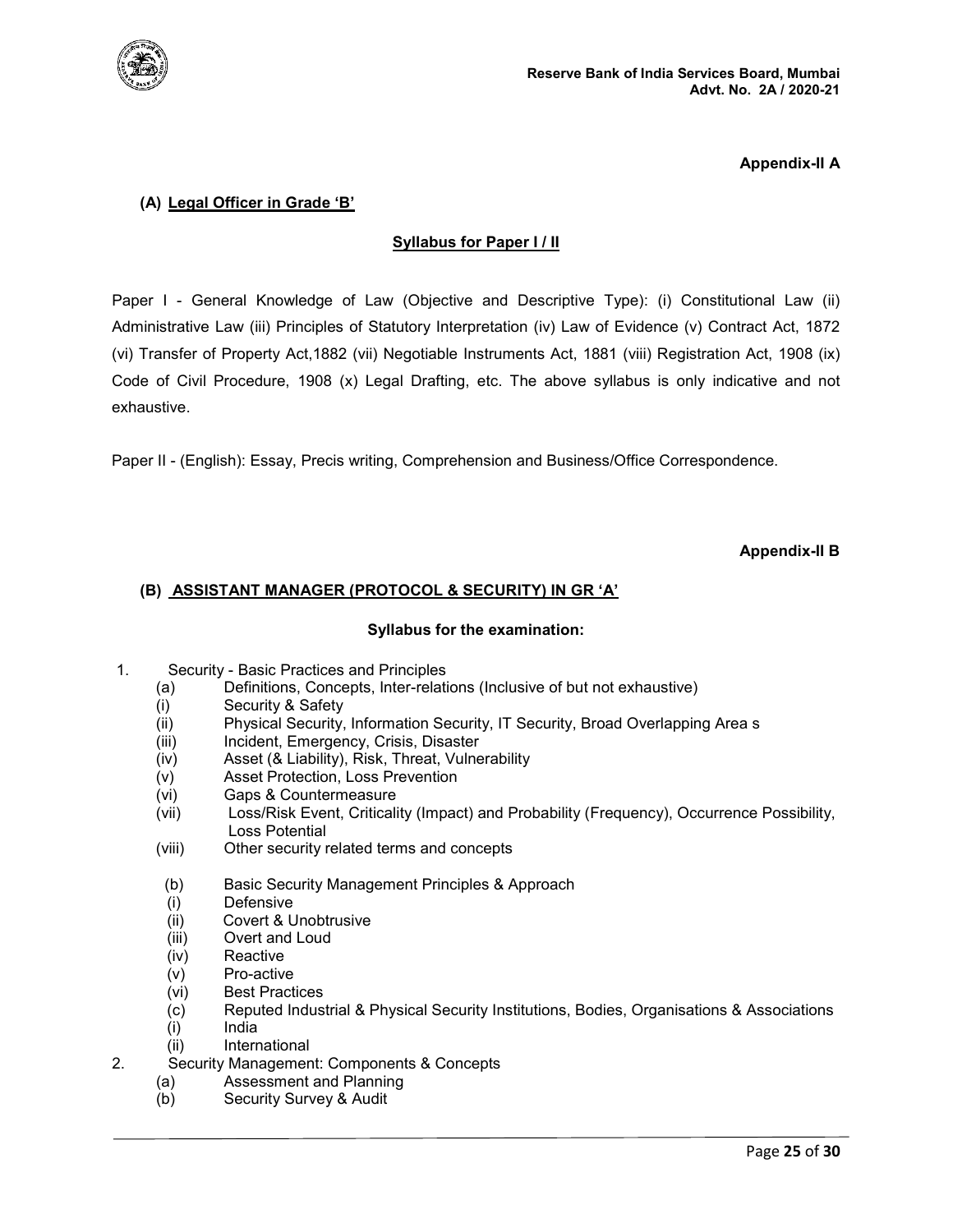

# **Appendix-II A**

# <span id="page-24-0"></span>**(A) Legal Officer in Grade 'B'**

# **Syllabus for Paper I / II**

Paper I - General Knowledge of Law (Objective and Descriptive Type): (i) Constitutional Law (ii) Administrative Law (iii) Principles of Statutory Interpretation (iv) Law of Evidence (v) Contract Act, 1872 (vi) Transfer of Property Act,1882 (vii) Negotiable Instruments Act, 1881 (viii) Registration Act, 1908 (ix) Code of Civil Procedure, 1908 (x) Legal Drafting, etc. The above syllabus is only indicative and not exhaustive.

Paper II - (English): Essay, Precis writing, Comprehension and Business/Office Correspondence.

## **Appendix-II B**

# <span id="page-24-1"></span>**(B) ASSISTANT MANAGER (PROTOCOL & SECURITY) IN GR 'A'**

#### **Syllabus for the examination:**

- 1. Security Basic Practices and Principles
	- (a) Definitions, Concepts, Inter-relations (Inclusive of but not exhaustive)
	- (i) Security & Safety
	- (ii) Physical Security, Information Security, IT Security, Broad Overlapping Area s
	- (iii) Incident, Emergency, Crisis, Disaster
	- (iv) Asset (& Liability), Risk, Threat, Vulnerability
	- (v) Asset Protection, Loss Prevention
	- (vi) Gaps & Countermeasure
	- (vii) Loss/Risk Event, Criticality (Impact) and Probability (Frequency), Occurrence Possibility, Loss Potential
	- (viii) Other security related terms and concepts
	- (b) Basic Security Management Principles & Approach
	- (i) Defensive
	- (ii) Covert & Unobtrusive
	- (iii) Overt and Loud
	- (iv) Reactive<br>(v) Pro-active
	- Pro-active
	- (vi) Best Practices
	- (c) Reputed Industrial & Physical Security Institutions, Bodies, Organisations & Associations
	- (i) India
	- (ii) International
- 2. Security Management: Components & Concepts
	- (a) Assessment and Planning
	- (b) Security Survey & Audit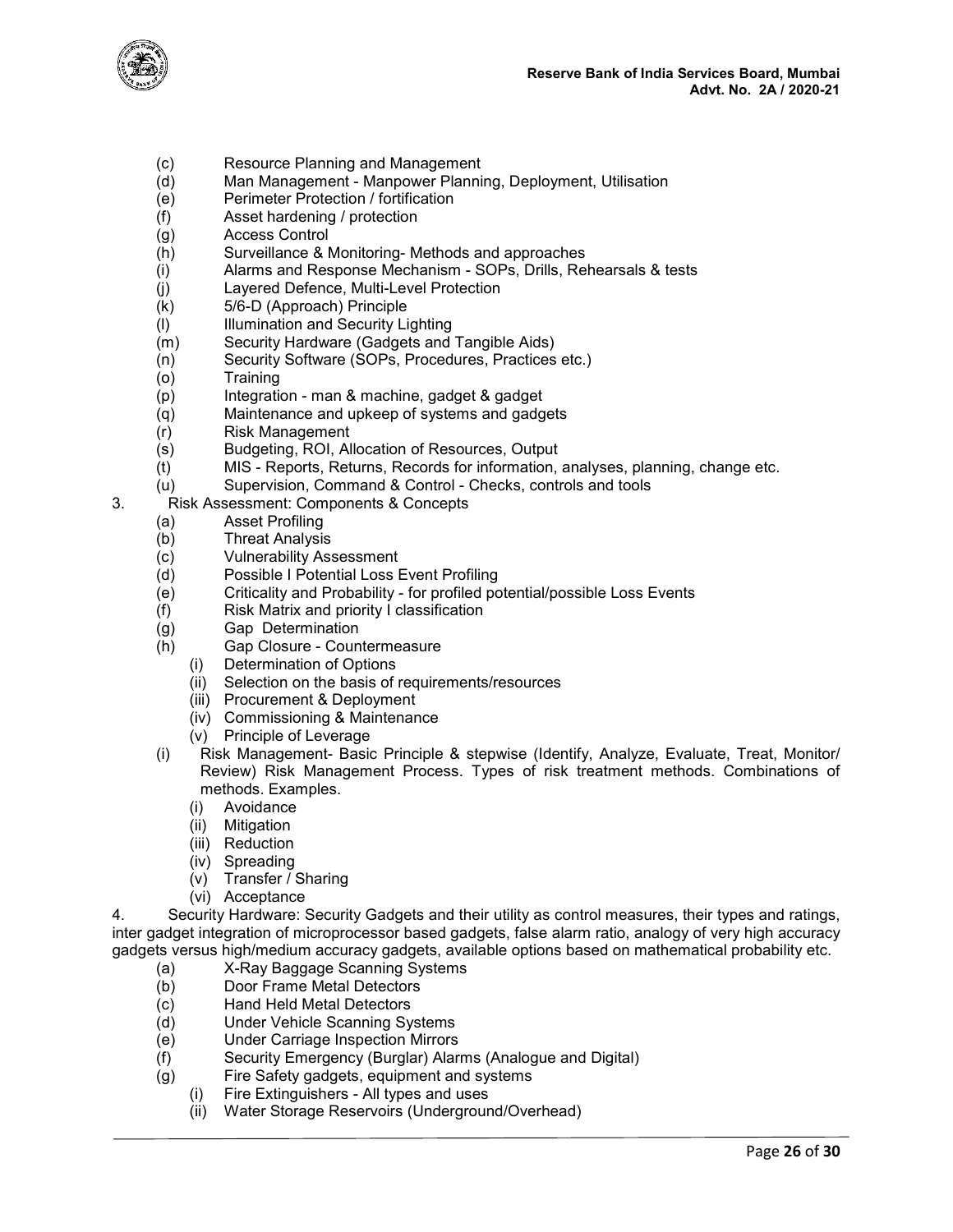

- (c) Resource Planning and Management
- (d) Man Management Manpower Planning, Deployment, Utilisation
- Perimeter Protection / fortification
- (f) Asset hardening / protection
- (g) Access Control
- (h) Surveillance & Monitoring- Methods and approaches
- (i) Alarms and Response Mechanism SOPs, Drills, Rehearsals & tests
- (j) Layered Defence, Multi-Level Protection
- (k) 5/6-D (Approach) Principle
- (l) Illumination and Security Lighting
- (m) Security Hardware (Gadgets and Tangible Aids)
- (n) Security Software (SOPs, Procedures, Practices etc.)
- (o) Training
- (p) Integration man & machine, gadget & gadget
- (q) Maintenance and upkeep of systems and gadgets
- (r) Risk Management
- (s) Budgeting, ROI, Allocation of Resources, Output
- (t) MIS Reports, Returns, Records for information, analyses, planning, change etc.
- (u) Supervision, Command & Control Checks, controls and tools
- 3. Risk Assessment: Components & Concepts
	- (a) Asset Profiling
	- (b) Threat Analysis
	- (c) Vulnerability Assessment
	- (d) Possible I Potential Loss Event Profiling
	- (e) Criticality and Probability for profiled potential/possible Loss Events
	- (f) Risk Matrix and priority I classification
	- (g) Gap Determination
	- (h) Gap Closure Countermeasure
		- (i) Determination of Options
		- (ii) Selection on the basis of requirements/resources
		- (iii) Procurement & Deployment
		- (iv) Commissioning & Maintenance
		- (v) Principle of Leverage
	- (i) Risk Management- Basic Principle & stepwise (Identify, Analyze, Evaluate, Treat, Monitor/ Review) Risk Management Process. Types of risk treatment methods. Combinations of methods. Examples.
		- (i) Avoidance
		- (ii) Mitigation
		- (iii) Reduction
		- (iv) Spreading
		- (v) Transfer / Sharing
		- (vi) Acceptance

4. Security Hardware: Security Gadgets and their utility as control measures, their types and ratings, inter gadget integration of microprocessor based gadgets, false alarm ratio, analogy of very high accuracy gadgets versus high/medium accuracy gadgets, available options based on mathematical probability etc.

- (a) X-Ray Baggage Scanning Systems
- (b) Door Frame Metal Detectors
- (c) Hand Held Metal Detectors
- (d) Under Vehicle Scanning Systems
- (e) Under Carriage Inspection Mirrors
- (f) Security Emergency (Burglar) Alarms (Analogue and Digital)
- (g) Fire Safety gadgets, equipment and systems
	- (i) Fire Extinguishers All types and uses
		- (ii) Water Storage Reservoirs (Underground/Overhead)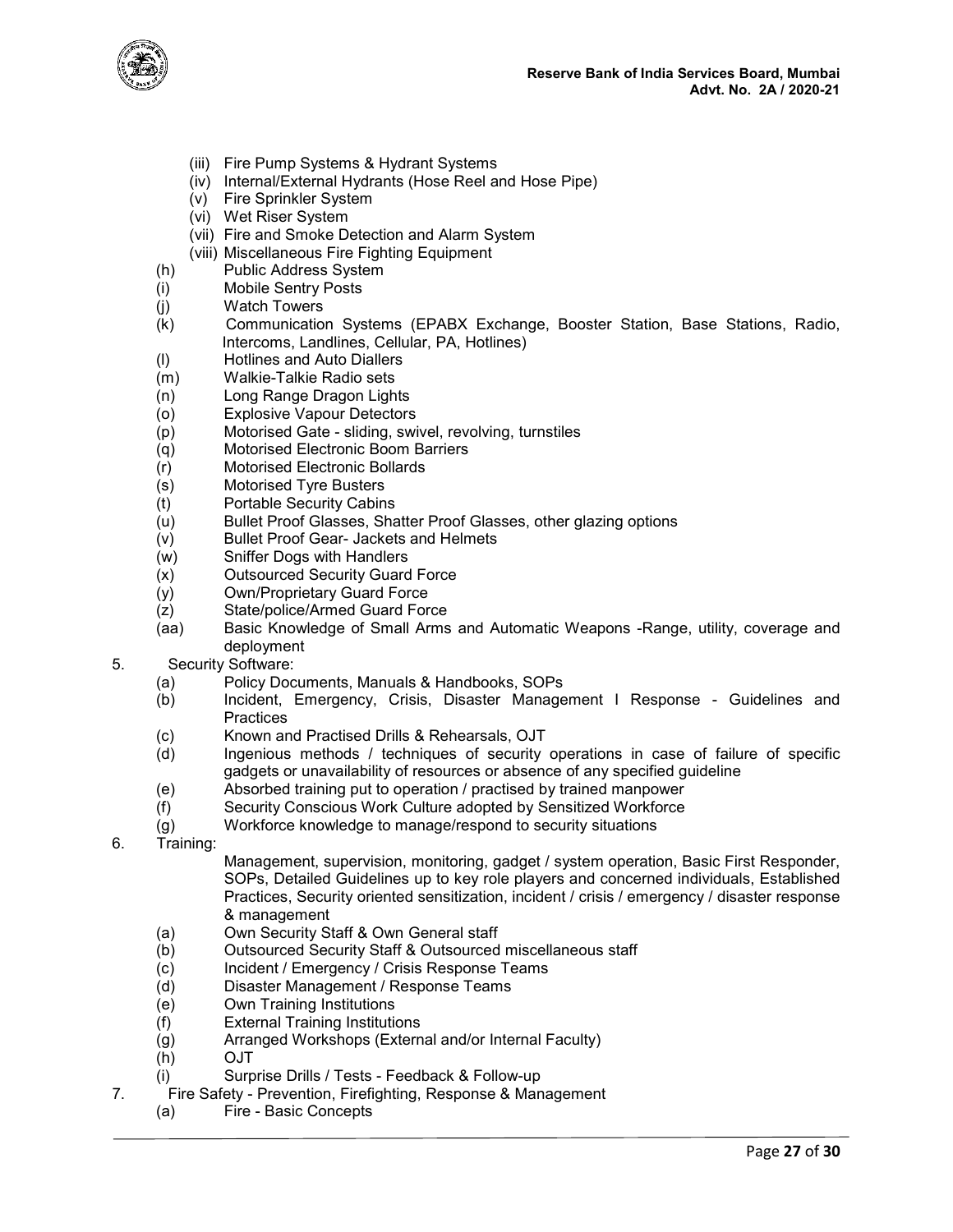

- (iii) Fire Pump Systems & Hydrant Systems
- (iv) Internal/External Hydrants (Hose Reel and Hose Pipe)
- (v) Fire Sprinkler System
- (vi) Wet Riser System
- (vii) Fire and Smoke Detection and Alarm System
- (viii) Miscellaneous Fire Fighting Equipment
- (h) Public Address System
- (i) Mobile Sentry Posts
- (j) Watch Towers
- (k) Communication Systems (EPABX Exchange, Booster Station, Base Stations, Radio, Intercoms, Landlines, Cellular, PA, Hotlines)
- (l) Hotlines and Auto Diallers
- (m) Walkie-Talkie Radio sets
- (n) Long Range Dragon Lights
- (o) Explosive Vapour Detectors
- (p) Motorised Gate sliding, swivel, revolving, turnstiles
- (q) Motorised Electronic Boom Barriers
- (r) Motorised Electronic Bollards
- (s) Motorised Tyre Busters
- (t) Portable Security Cabins
- (u) Bullet Proof Glasses, Shatter Proof Glasses, other glazing options
- (v) Bullet Proof Gear- Jackets and Helmets
- (w) Sniffer Dogs with Handlers
- (x) Outsourced Security Guard Force
- (y) Own/Proprietary Guard Force
- (z) State/police/Armed Guard Force
- (aa) Basic Knowledge of Small Arms and Automatic Weapons -Range, utility, coverage and deployment
- 5. Security Software:
	- (a) Policy Documents, Manuals & Handbooks, SOPs
	- (b) Incident, Emergency, Crisis, Disaster Management I Response Guidelines and **Practices**
	- (c) Known and Practised Drills & Rehearsals, OJT
	- (d) Ingenious methods / techniques of security operations in case of failure of specific gadgets or unavailability of resources or absence of any specified guideline
	- (e) Absorbed training put to operation / practised by trained manpower
	- (f) Security Conscious Work Culture adopted by Sensitized Workforce
	- (g) Workforce knowledge to manage/respond to security situations
- 6. Training:

Management, supervision, monitoring, gadget / system operation, Basic First Responder, SOPs, Detailed Guidelines up to key role players and concerned individuals, Established Practices, Security oriented sensitization, incident / crisis / emergency / disaster response & management

- (a) Own Security Staff & Own General staff<br>(b) Outsourced Security Staff & Outsourced
- Outsourced Security Staff & Outsourced miscellaneous staff
- (c) Incident / Emergency / Crisis Response Teams
- (d) Disaster Management / Response Teams
- (e) Own Training Institutions
- (f) External Training Institutions
- (g) Arranged Workshops (External and/or Internal Faculty)<br>(h) OJT
- $OJT$
- (i) Surprise Drills / Tests Feedback & Follow-up
- 7. Fire Safety Prevention, Firefighting, Response & Management
	- (a) Fire Basic Concepts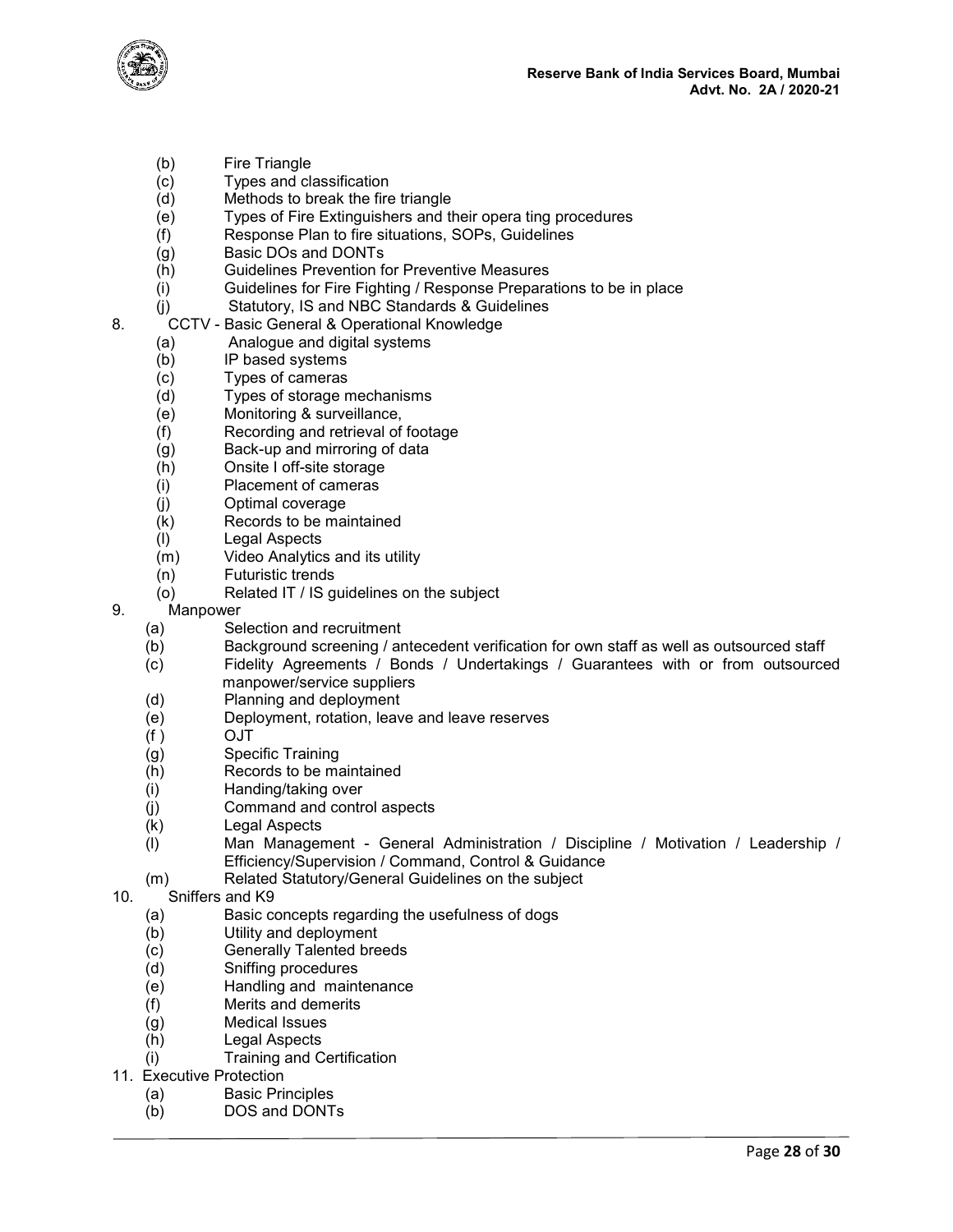

- (b) Fire Triangle
- (c) Types and classification<br>(d) Methods to break the fire
- Methods to break the fire triangle
- (e) Types of Fire Extinguishers and their opera ting procedures
- (f) Response Plan to fire situations, SOPs, Guidelines
- (g) Basic DOs and DONTs
- (h) Guidelines Prevention for Preventive Measures
- (i) Guidelines for Fire Fighting / Response Preparations to be in place (j) Statutory, IS and NBC Standards & Guidelines
- Statutory, IS and NBC Standards & Guidelines
- 8. CCTV Basic General & Operational Knowledge
	- (a) Analogue and digital systems
	- (b) IP based systems
	- (c) Types of cameras
	- (d) Types of storage mechanisms
	- (e) Monitoring & surveillance,
	- (f) Recording and retrieval of footage
	- (g) Back-up and mirroring of data
	- (h) Onsite I off-site storage
	- (i) Placement of cameras
	- (j) Optimal coverage
	- (k) Records to be maintained
	- (l) Legal Aspects
	- (m) Video Analytics and its utility
	- (n) Futuristic trends
	- (o) Related IT / IS guidelines on the subject

# 9. Manpower<br>(a) Se

- Selection and recruitment
- (b) Background screening / antecedent verification for own staff as well as outsourced staff
- (c) Fidelity Agreements / Bonds / Undertakings / Guarantees with or from outsourced manpower/service suppliers
- (d) Planning and deployment
- (e) Deployment, rotation, leave and leave reserves
- $OJT$
- (g) Specific Training
- (h) Records to be maintained<br>(i) Handing/taking over
- Handing/taking over
- (j) Command and control aspects
- 
- (k) Legal Aspects<br>(l) Man\_Manager Man Management - General Administration / Discipline / Motivation / Leadership / Efficiency/Supervision / Command, Control & Guidance
- (m) Related Statutory/General Guidelines on the subject
- 10. Sniffers and K9
	- (a) Basic concepts regarding the usefulness of dogs
	- (b) Utility and deployment<br>
	(c) Generally Talented bre
	- Generally Talented breeds
	- (d) Sniffing procedures
	- (e) Handling and maintenance<br>(f) Merits and demerits
	- Merits and demerits
	- (g) Medical Issues
	- (h) Legal Aspects
	- (i) Training and Certification
- 11. Executive Protection
	- (a) Basic Principles<br>
	(b) DOS and DONT
	- DOS and DONTs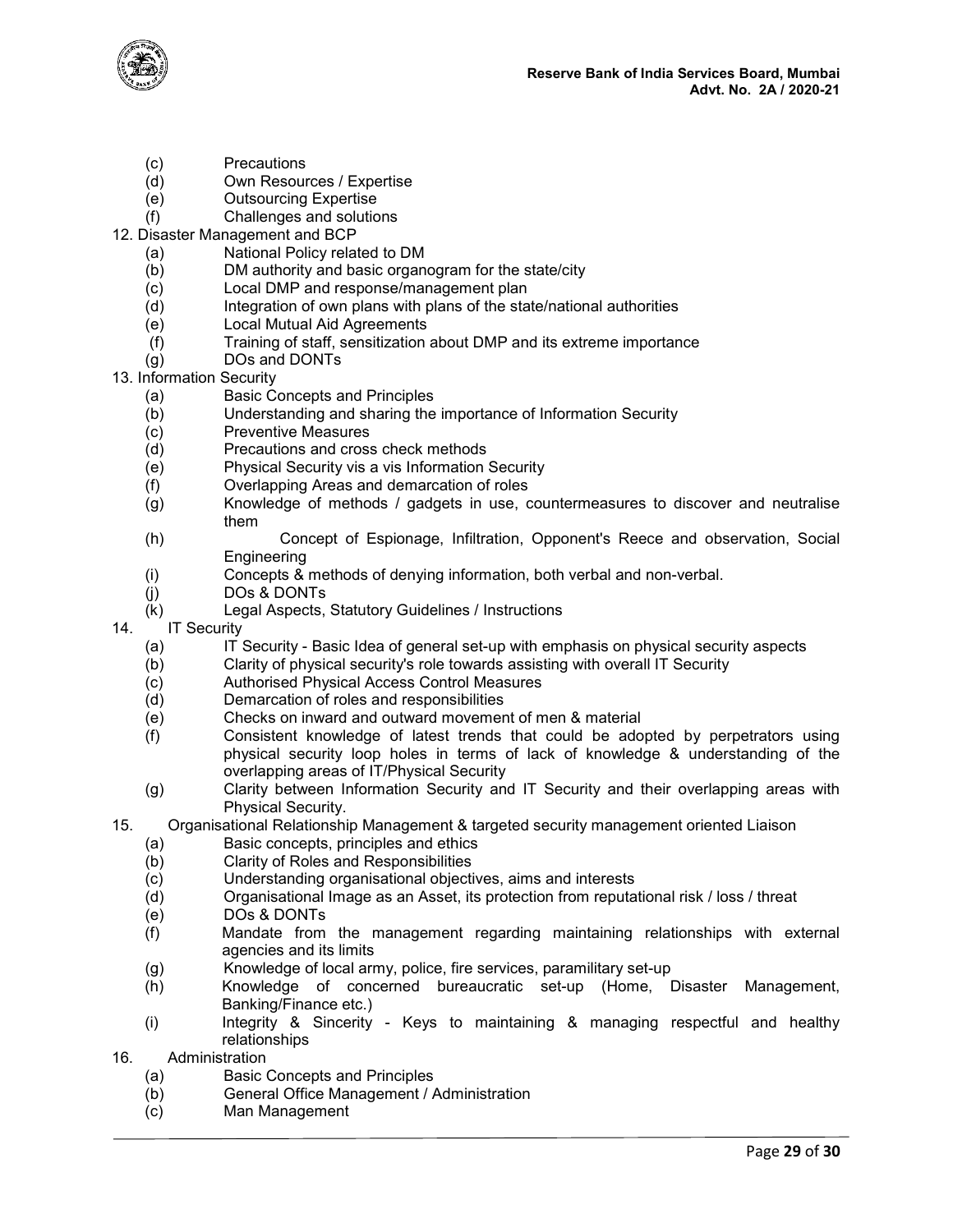

- (c) Precautions
- (d) Own Resources / Expertise<br>
(e) Outsourcing Expertise
- **Outsourcing Expertise**
- (f) Challenges and solutions
- 12. Disaster Management and BCP
	- (a) National Policy related to DM
	- (b) DM authority and basic organogram for the state/city
	- (c) Local DMP and response/management plan<br>(d) lntegration of own plans with plans of the sta
	- Integration of own plans with plans of the state/national authorities
	- (e) Local Mutual Aid Agreements
	- (f) Training of staff, sensitization about DMP and its extreme importance
	- (g) DOs and DONTs
- 13. Information Security
	- (a) Basic Concepts and Principles
	- (b) Understanding and sharing the importance of Information Security
	- (c) Preventive Measures
	- (d) Precautions and cross check methods
	- (e) Physical Security vis a vis Information Security
	- (f) Overlapping Areas and demarcation of roles
	- (g) Knowledge of methods / gadgets in use, countermeasures to discover and neutralise them
	- (h) Concept of Espionage, Infiltration, Opponent's Reece and observation, Social Engineering
	- (i) Concepts & methods of denying information, both verbal and non-verbal.
	- (j) DOs & DONTs
	- (k) Legal Aspects, Statutory Guidelines / Instructions
- 14. **IT Security** 
	- (a) IT Security Basic Idea of general set-up with emphasis on physical security aspects
	- (b) Clarity of physical security's role towards assisting with overall IT Security
	- (c) Authorised Physical Access Control Measures
	- (d) Demarcation of roles and responsibilities
	- (e) Checks on inward and outward movement of men & material
	- Consistent knowledge of latest trends that could be adopted by perpetrators using physical security loop holes in terms of lack of knowledge & understanding of the overlapping areas of IT/Physical Security
	- (g) Clarity between Information Security and IT Security and their overlapping areas with Physical Security.
- 15. Organisational Relationship Management & targeted security management oriented Liaison
	- (a) Basic concepts, principles and ethics
	- (b) Clarity of Roles and Responsibilities
	- (c) Understanding organisational objectives, aims and interests
	- Organisational Image as an Asset, its protection from reputational risk / loss / threat
	- (e) DOs & DONTs
	- (f) Mandate from the management regarding maintaining relationships with external agencies and its limits
	- (g) Knowledge of local army, police, fire services, paramilitary set-up
	- (h) Knowledge of concerned bureaucratic set-up (Home, Disaster Management, Banking/Finance etc.)
	- (i) Integrity & Sincerity Keys to maintaining & managing respectful and healthy relationships
- 16. Administration
	- (a) Basic Concepts and Principles
	- (b) General Office Management / Administration
	- Man Management